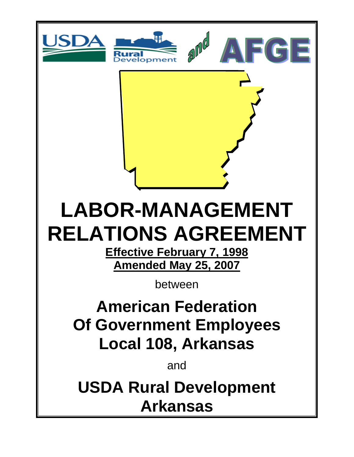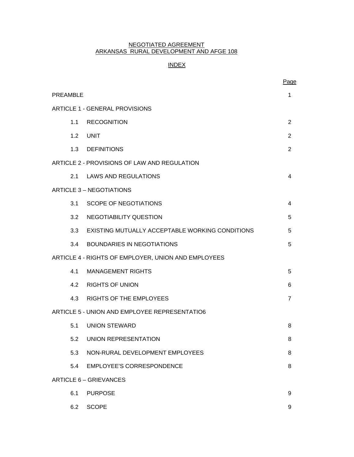#### NEGOTIATED AGREEMENT ARKANSAS RURAL DEVELOPMENT AND AFGE 108

#### INDEX

|                 |     |                                                     | Page |
|-----------------|-----|-----------------------------------------------------|------|
| <b>PREAMBLE</b> |     |                                                     | 1    |
|                 |     | <b>ARTICLE 1 - GENERAL PROVISIONS</b>               |      |
|                 | 1.1 | <b>RECOGNITION</b>                                  | 2    |
|                 | 1.2 | UNIT                                                | 2    |
|                 | 1.3 | <b>DEFINITIONS</b>                                  | 2    |
|                 |     | ARTICLE 2 - PROVISIONS OF LAW AND REGULATION        |      |
|                 | 2.1 | <b>LAWS AND REGULATIONS</b>                         | 4    |
|                 |     | ARTICLE 3 - NEGOTIATIONS                            |      |
|                 | 3.1 | <b>SCOPE OF NEGOTIATIONS</b>                        | 4    |
|                 | 3.2 | NEGOTIABILITY QUESTION                              | 5    |
|                 | 3.3 | EXISTING MUTUALLY ACCEPTABLE WORKING CONDITIONS     | 5    |
|                 | 3.4 | <b>BOUNDARIES IN NEGOTIATIONS</b>                   | 5    |
|                 |     | ARTICLE 4 - RIGHTS OF EMPLOYER, UNION AND EMPLOYEES |      |
|                 | 4.1 | <b>MANAGEMENT RIGHTS</b>                            | 5    |
|                 | 4.2 | <b>RIGHTS OF UNION</b>                              | 6    |
|                 | 4.3 | <b>RIGHTS OF THE EMPLOYEES</b>                      | 7    |
|                 |     | ARTICLE 5 - UNION AND EMPLOYEE REPRESENTATIO6       |      |
|                 | 5.1 | <b>UNION STEWARD</b>                                | 8    |
|                 | 5.2 | UNION REPRESENTATION                                | 8    |
|                 | 5.3 | NON-RURAL DEVELOPMENT EMPLOYEES                     | 8    |
|                 | 5.4 | EMPLOYEE'S CORRESPONDENCE                           | 8    |
|                 |     | ARTICLE 6 - GRIEVANCES                              |      |
|                 | 6.1 | <b>PURPOSE</b>                                      | 9    |
|                 | 6.2 | <b>SCOPE</b>                                        | 9    |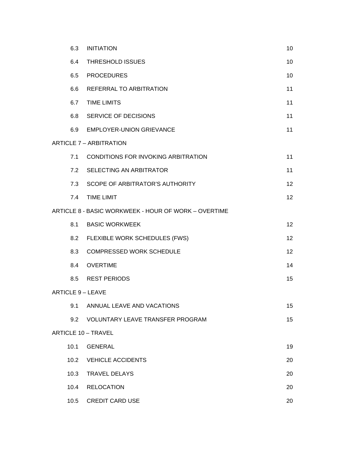| 6.3  | <b>INITIATION</b>                                    | 10 |
|------|------------------------------------------------------|----|
| 6.4  | THRESHOLD ISSUES                                     | 10 |
| 6.5  | <b>PROCEDURES</b>                                    | 10 |
| 6.6  | REFERRAL TO ARBITRATION                              | 11 |
| 6.7  | <b>TIME LIMITS</b>                                   | 11 |
| 6.8  | SERVICE OF DECISIONS                                 | 11 |
| 6.9  | <b>EMPLOYER-UNION GRIEVANCE</b>                      | 11 |
|      | ARTICLE 7 - ARBITRATION                              |    |
| 7.1  | CONDITIONS FOR INVOKING ARBITRATION                  | 11 |
| 7.2  | SELECTING AN ARBITRATOR                              | 11 |
| 7.3  | <b>SCOPE OF ARBITRATOR'S AUTHORITY</b>               | 12 |
| 7.4  | <b>TIME LIMIT</b>                                    | 12 |
|      | ARTICLE 8 - BASIC WORKWEEK - HOUR OF WORK - OVERTIME |    |
| 8.1  | <b>BASIC WORKWEEK</b>                                | 12 |
| 8.2  | FLEXIBLE WORK SCHEDULES (FWS)                        | 12 |
| 8.3  | <b>COMPRESSED WORK SCHEDULE</b>                      | 12 |
| 8.4  | <b>OVERTIME</b>                                      | 14 |
| 8.5  | <b>REST PERIODS</b>                                  | 15 |
|      | <b>ARTICLE 9 - LEAVE</b>                             |    |
| 9.1  | ANNUAL LEAVE AND VACATIONS                           | 15 |
| 9.2  | VOLUNTARY LEAVE TRANSFER PROGRAM                     | 15 |
|      | ARTICLE 10 - TRAVEL                                  |    |
| 10.1 | <b>GENERAL</b>                                       | 19 |
| 10.2 | <b>VEHICLE ACCIDENTS</b>                             | 20 |
| 10.3 | <b>TRAVEL DELAYS</b>                                 | 20 |
| 10.4 | <b>RELOCATION</b>                                    | 20 |
| 10.5 | <b>CREDIT CARD USE</b>                               | 20 |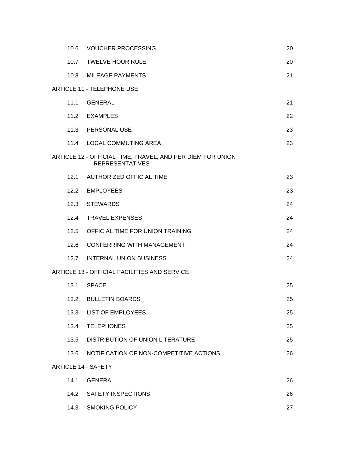| 10.6 | <b>VOUCHER PROCESSING</b>                                                            | 20 |
|------|--------------------------------------------------------------------------------------|----|
| 10.7 | <b>TWELVE HOUR RULE</b>                                                              | 20 |
| 10.8 | MILEAGE PAYMENTS                                                                     | 21 |
|      | <b>ARTICLE 11 - TELEPHONE USE</b>                                                    |    |
| 11.1 | GENERAL                                                                              | 21 |
| 11.2 | <b>EXAMPLES</b>                                                                      | 22 |
|      | 11.3 PERSONAL USE                                                                    | 23 |
|      | 11.4 LOCAL COMMUTING AREA                                                            | 23 |
|      | ARTICLE 12 - OFFICIAL TIME, TRAVEL, AND PER DIEM FOR UNION<br><b>REPRESENTATIVES</b> |    |
| 12.1 | <b>AUTHORIZED OFFICIAL TIME</b>                                                      | 23 |
| 12.2 | <b>EMPLOYEES</b>                                                                     | 23 |
| 12.3 | <b>STEWARDS</b>                                                                      | 24 |
| 12.4 | <b>TRAVEL EXPENSES</b>                                                               | 24 |
| 12.5 | OFFICIAL TIME FOR UNION TRAINING                                                     | 24 |
| 12.6 | <b>CONFERRING WITH MANAGEMENT</b>                                                    | 24 |
| 12.7 | <b>INTERNAL UNION BUSINESS</b>                                                       | 24 |
|      | <b>ARTICLE 13 - OFFICIAL FACILITIES AND SERVICE</b>                                  |    |
| 13.1 | <b>SPACE</b>                                                                         | 25 |
| 13.2 | <b>BULLETIN BOARDS</b>                                                               | 25 |
| 13.3 | <b>LIST OF EMPLOYEES</b>                                                             | 25 |
| 13.4 | <b>TELEPHONES</b>                                                                    | 25 |
| 13.5 | DISTRIBUTION OF UNION LITERATURE                                                     | 25 |
| 13.6 | NOTIFICATION OF NON-COMPETITIVE ACTIONS                                              | 26 |
|      | <b>ARTICLE 14 - SAFETY</b>                                                           |    |
| 14.1 | <b>GENERAL</b>                                                                       | 26 |
| 14.2 | <b>SAFETY INSPECTIONS</b>                                                            | 26 |
| 14.3 | <b>SMOKING POLICY</b>                                                                | 27 |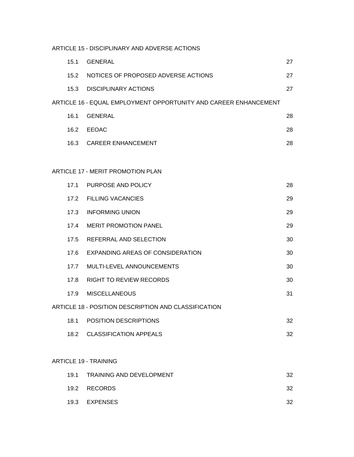ARTICLE 15 - DISCIPLINARY AND ADVERSE ACTIONS

| 15.1 | <b>GENERAL</b>                                                   | 27 |
|------|------------------------------------------------------------------|----|
| 15.2 | NOTICES OF PROPOSED ADVERSE ACTIONS                              | 27 |
|      | 15.3 DISCIPLINARY ACTIONS                                        | 27 |
|      | ARTICLE 16 - EQUAL EMPLOYMENT OPPORTUNITY AND CAREER ENHANCEMENT |    |
| 16.1 | <b>GENERAL</b>                                                   | 28 |
|      | 16.2 EEOAC                                                       | 28 |
|      | 16.3 CAREER ENHANCEMENT                                          | 28 |
|      |                                                                  |    |
|      | <b>ARTICLE 17 - MERIT PROMOTION PLAN</b>                         |    |
|      | 17.1 PURPOSE AND POLICY                                          | 28 |
|      | 17.2 FILLING VACANCIES                                           | 29 |
| 17.3 | <b>INFORMING UNION</b>                                           | 29 |
| 17.4 | <b>MERIT PROMOTION PANEL</b>                                     | 29 |
| 17.5 | REFERRAL AND SELECTION                                           | 30 |
| 17.6 | <b>EXPANDING AREAS OF CONSIDERATION</b>                          | 30 |
| 17.7 | MULTI-LEVEL ANNOUNCEMENTS                                        | 30 |
| 17.8 | <b>RIGHT TO REVIEW RECORDS</b>                                   | 30 |
| 17.9 | <b>MISCELLANEOUS</b>                                             | 31 |
|      | ARTICLE 18 - POSITION DESCRIPTION AND CLASSIFICATION             |    |
| 18.1 | POSITION DESCRIPTIONS                                            | 32 |
| 18.2 | <b>CLASSIFICATION APPEALS</b>                                    | 32 |
|      |                                                                  |    |
|      | <b>ARTICLE 19 - TRAINING</b>                                     |    |
|      |                                                                  |    |

| 19.1 | TRAINING AND DEVELOPMENT | 32 |
|------|--------------------------|----|
|      | 19.2 RECORDS             | 32 |
|      | 19.3 EXPENSES            | 32 |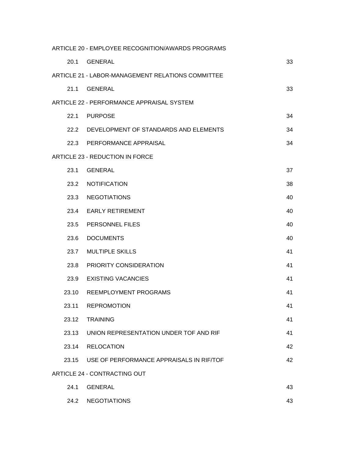| ARTICLE 20 - EMPLOYEE RECOGNITION/AWARDS PROGRAMS |       |                                                   |    |
|---------------------------------------------------|-------|---------------------------------------------------|----|
|                                                   | 20.1  | <b>GENERAL</b>                                    | 33 |
|                                                   |       | ARTICLE 21 - LABOR-MANAGEMENT RELATIONS COMMITTEE |    |
|                                                   | 21.1  | <b>GENERAL</b>                                    | 33 |
|                                                   |       | ARTICLE 22 - PERFORMANCE APPRAISAL SYSTEM         |    |
|                                                   | 22.1  | <b>PURPOSE</b>                                    | 34 |
|                                                   | 22.2  | DEVELOPMENT OF STANDARDS AND ELEMENTS             | 34 |
|                                                   |       | 22.3 PERFORMANCE APPRAISAL                        | 34 |
|                                                   |       | ARTICLE 23 - REDUCTION IN FORCE                   |    |
|                                                   | 23.1  | <b>GENERAL</b>                                    | 37 |
|                                                   | 23.2  | <b>NOTIFICATION</b>                               | 38 |
|                                                   | 23.3  | <b>NEGOTIATIONS</b>                               | 40 |
|                                                   | 23.4  | <b>EARLY RETIREMENT</b>                           | 40 |
|                                                   | 23.5  | <b>PERSONNEL FILES</b>                            | 40 |
|                                                   | 23.6  | <b>DOCUMENTS</b>                                  | 40 |
|                                                   | 23.7  | <b>MULTIPLE SKILLS</b>                            | 41 |
|                                                   | 23.8  | <b>PRIORITY CONSIDERATION</b>                     | 41 |
|                                                   | 23.9  | <b>EXISTING VACANCIES</b>                         | 41 |
|                                                   | 23.10 | <b>REEMPLOYMENT PROGRAMS</b>                      | 41 |
|                                                   | 23.11 | <b>REPROMOTION</b>                                | 41 |
|                                                   | 23.12 | <b>TRAINING</b>                                   | 41 |
|                                                   | 23.13 | UNION REPRESENTATION UNDER TOF AND RIF            | 41 |
|                                                   | 23.14 | <b>RELOCATION</b>                                 | 42 |
|                                                   | 23.15 | USE OF PERFORMANCE APPRAISALS IN RIF/TOF          | 42 |
|                                                   |       | ARTICLE 24 - CONTRACTING OUT                      |    |
|                                                   | 24.1  | <b>GENERAL</b>                                    | 43 |
|                                                   | 24.2  | <b>NEGOTIATIONS</b>                               | 43 |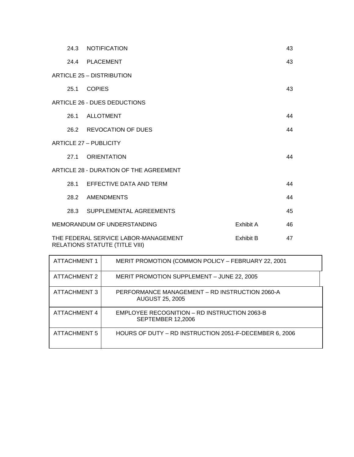|                               |                                                                                     | 24.3 NOTIFICATION                      |           | 43 |
|-------------------------------|-------------------------------------------------------------------------------------|----------------------------------------|-----------|----|
|                               |                                                                                     | 24.4 PLACEMENT                         |           | 43 |
|                               |                                                                                     | ARTICLE 25 - DISTRIBUTION              |           |    |
|                               |                                                                                     | 25.1 COPIES                            |           | 43 |
|                               |                                                                                     | <b>ARTICLE 26 - DUES DEDUCTIONS</b>    |           |    |
|                               | 26.1                                                                                | ALLOTMENT                              |           | 44 |
|                               |                                                                                     | 26.2 REVOCATION OF DUES                |           | 44 |
| <b>ARTICLE 27 - PUBLICITY</b> |                                                                                     |                                        |           |    |
|                               |                                                                                     | 27.1 ORIENTATION                       |           | 44 |
|                               |                                                                                     | ARTICLE 28 - DURATION OF THE AGREEMENT |           |    |
|                               | 28.1                                                                                | EFFECTIVE DATA AND TERM                |           | 44 |
|                               | 28.2                                                                                | AMENDMENTS                             |           | 44 |
|                               |                                                                                     | 28.3 SUPPLEMENTAL AGREEMENTS           |           | 45 |
|                               |                                                                                     | MEMORANDUM OF UNDERSTANDING            | Exhibit A | 46 |
|                               | THE FEDERAL SERVICE LABOR-MANAGEMENT<br>Exhibit B<br>RELATIONS STATUTE (TITLE VIII) |                                        |           | 47 |

| <b>ATTACHMENT 1</b> | MERIT PROMOTION (COMMON POLICY - FEBRUARY 22, 2001                       |
|---------------------|--------------------------------------------------------------------------|
| ATTACHMENT 2        | MERIT PROMOTION SUPPLEMENT - JUNE 22, 2005                               |
| ATTACHMENT 3        | PERFORMANCE MANAGEMENT - RD INSTRUCTION 2060-A<br><b>AUGUST 25, 2005</b> |
| ATTACHMENT 4        | EMPLOYEE RECOGNITION - RD INSTRUCTION 2063-B<br>SEPTEMBER 12,2006        |
| ATTACHMENT 5        | HOURS OF DUTY – RD INSTRUCTION 2051-F-DECEMBER 6, 2006                   |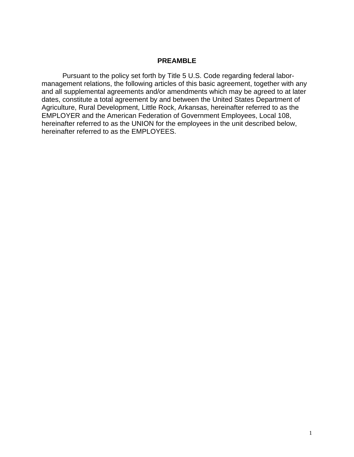#### **PREAMBLE**

Pursuant to the policy set forth by Title 5 U.S. Code regarding federal labormanagement relations, the following articles of this basic agreement, together with any and all supplemental agreements and/or amendments which may be agreed to at later dates, constitute a total agreement by and between the United States Department of Agriculture, Rural Development, Little Rock, Arkansas, hereinafter referred to as the EMPLOYER and the American Federation of Government Employees, Local 108, hereinafter referred to as the UNION for the employees in the unit described below, hereinafter referred to as the EMPLOYEES.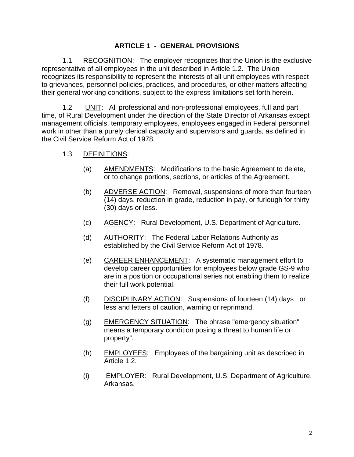#### **ARTICLE 1 - GENERAL PROVISIONS**

1.1 RECOGNITION: The employer recognizes that the Union is the exclusive representative of all employees in the unit described in Article 1.2. The Union recognizes its responsibility to represent the interests of all unit employees with respect to grievances, personnel policies, practices, and procedures, or other matters affecting their general working conditions, subject to the express limitations set forth herein.

1.2 UNIT: All professional and non-professional employees, full and part time, of Rural Development under the direction of the State Director of Arkansas except management officials, temporary employees, employees engaged in Federal personnel work in other than a purely clerical capacity and supervisors and guards, as defined in the Civil Service Reform Act of 1978.

- 1.3 DEFINITIONS:
	- (a) AMENDMENTS: Modifications to the basic Agreement to delete, or to change portions, sections, or articles of the Agreement.
	- (b) ADVERSE ACTION: Removal, suspensions of more than fourteen (14) days, reduction in grade, reduction in pay, or furlough for thirty (30) days or less.
	- (c) AGENCY: Rural Development, U.S. Department of Agriculture.
	- (d) AUTHORITY: The Federal Labor Relations Authority as established by the Civil Service Reform Act of 1978.
	- (e) CAREER ENHANCEMENT: A systematic management effort to develop career opportunities for employees below grade GS-9 who are in a position or occupational series not enabling them to realize their full work potential.
	- (f) DISCIPLINARY ACTION: Suspensions of fourteen (14) days or less and letters of caution, warning or reprimand.
	- (g) EMERGENCY SITUATION: The phrase "emergency situation" means a temporary condition posing a threat to human life or property".
	- (h) EMPLOYEES: Employees of the bargaining unit as described in Article 1.2.
	- (i) EMPLOYER: Rural Development, U.S. Department of Agriculture, Arkansas.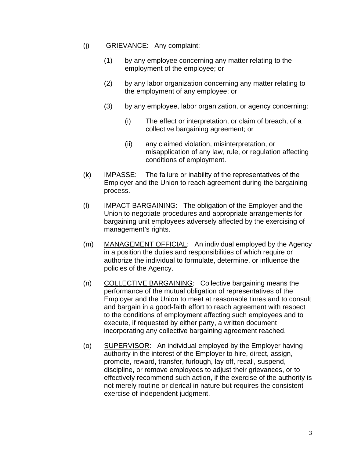- (j) GRIEVANCE: Any complaint:
	- (1) by any employee concerning any matter relating to the employment of the employee; or
	- (2) by any labor organization concerning any matter relating to the employment of any employee; or
	- (3) by any employee, labor organization, or agency concerning:
		- (i) The effect or interpretation, or claim of breach, of a collective bargaining agreement; or
		- (ii) any claimed violation, misinterpretation, or misapplication of any law, rule, or regulation affecting conditions of employment.
- (k) IMPASSE: The failure or inability of the representatives of the Employer and the Union to reach agreement during the bargaining process.
- (l) IMPACT BARGAINING: The obligation of the Employer and the Union to negotiate procedures and appropriate arrangements for bargaining unit employees adversely affected by the exercising of management's rights.
- (m) MANAGEMENT OFFICIAL: An individual employed by the Agency in a position the duties and responsibilities of which require or authorize the individual to formulate, determine, or influence the policies of the Agency.
- (n) COLLECTIVE BARGAINING: Collective bargaining means the performance of the mutual obligation of representatives of the Employer and the Union to meet at reasonable times and to consult and bargain in a good-faith effort to reach agreement with respect to the conditions of employment affecting such employees and to execute, if requested by either party, a written document incorporating any collective bargaining agreement reached.
- (o) SUPERVISOR: An individual employed by the Employer having authority in the interest of the Employer to hire, direct, assign, promote, reward, transfer, furlough, lay off, recall, suspend, discipline, or remove employees to adjust their grievances, or to effectively recommend such action, if the exercise of the authority is not merely routine or clerical in nature but requires the consistent exercise of independent judgment.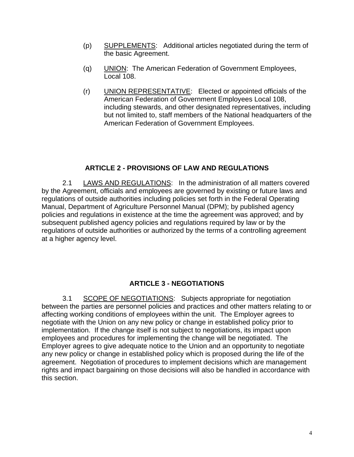- (p) SUPPLEMENTS: Additional articles negotiated during the term of the basic Agreement.
- (q) UNION: The American Federation of Government Employees, Local 108.
- (r) UNION REPRESENTATIVE: Elected or appointed officials of the American Federation of Government Employees Local 108, including stewards, and other designated representatives, including but not limited to, staff members of the National headquarters of the American Federation of Government Employees.

# **ARTICLE 2 - PROVISIONS OF LAW AND REGULATIONS**

2.1 LAWS AND REGULATIONS: In the administration of all matters covered by the Agreement, officials and employees are governed by existing or future laws and regulations of outside authorities including policies set forth in the Federal Operating Manual, Department of Agriculture Personnel Manual (DPM); by published agency policies and regulations in existence at the time the agreement was approved; and by subsequent published agency policies and regulations required by law or by the regulations of outside authorities or authorized by the terms of a controlling agreement at a higher agency level.

# **ARTICLE 3 - NEGOTIATIONS**

3.1 SCOPE OF NEGOTIATIONS: Subjects appropriate for negotiation between the parties are personnel policies and practices and other matters relating to or affecting working conditions of employees within the unit. The Employer agrees to negotiate with the Union on any new policy or change in established policy prior to implementation. If the change itself is not subject to negotiations, its impact upon employees and procedures for implementing the change will be negotiated. The Employer agrees to give adequate notice to the Union and an opportunity to negotiate any new policy or change in established policy which is proposed during the life of the agreement. Negotiation of procedures to implement decisions which are management rights and impact bargaining on those decisions will also be handled in accordance with this section.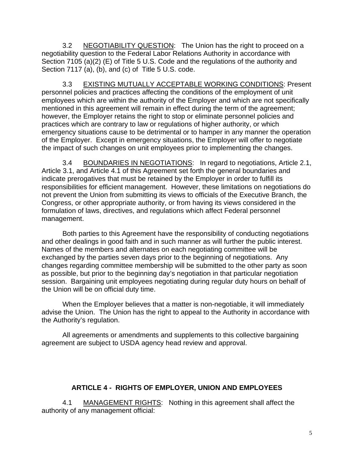3.2 NEGOTIABILITY QUESTION: The Union has the right to proceed on a negotiability question to the Federal Labor Relations Authority in accordance with Section 7105 (a)(2) (E) of Title 5 U.S. Code and the regulations of the authority and Section 7117 (a), (b), and (c) of Title 5 U.S. code.

3.3 EXISTING MUTUALLY ACCEPTABLE WORKING CONDITIONS: Present personnel policies and practices affecting the conditions of the employment of unit employees which are within the authority of the Employer and which are not specifically mentioned in this agreement will remain in effect during the term of the agreement; however, the Employer retains the right to stop or eliminate personnel policies and practices which are contrary to law or regulations of higher authority, or which emergency situations cause to be detrimental or to hamper in any manner the operation of the Employer. Except in emergency situations, the Employer will offer to negotiate the impact of such changes on unit employees prior to implementing the changes.

3.4 BOUNDARIES IN NEGOTIATIONS: In regard to negotiations, Article 2.1, Article 3.1, and Article 4.1 of this Agreement set forth the general boundaries and indicate prerogatives that must be retained by the Employer in order to fulfill its responsibilities for efficient management. However, these limitations on negotiations do not prevent the Union from submitting its views to officials of the Executive Branch, the Congress, or other appropriate authority, or from having its views considered in the formulation of laws, directives, and regulations which affect Federal personnel management.

Both parties to this Agreement have the responsibility of conducting negotiations and other dealings in good faith and in such manner as will further the public interest. Names of the members and alternates on each negotiating committee will be exchanged by the parties seven days prior to the beginning of negotiations. Any changes regarding committee membership will be submitted to the other party as soon as possible, but prior to the beginning day's negotiation in that particular negotiation session. Bargaining unit employees negotiating during regular duty hours on behalf of the Union will be on official duty time.

When the Employer believes that a matter is non-negotiable, it will immediately advise the Union. The Union has the right to appeal to the Authority in accordance with the Authority's regulation.

All agreements or amendments and supplements to this collective bargaining agreement are subject to USDA agency head review and approval.

# **ARTICLE 4 - RIGHTS OF EMPLOYER, UNION AND EMPLOYEES**

4.1 MANAGEMENT RIGHTS: Nothing in this agreement shall affect the authority of any management official: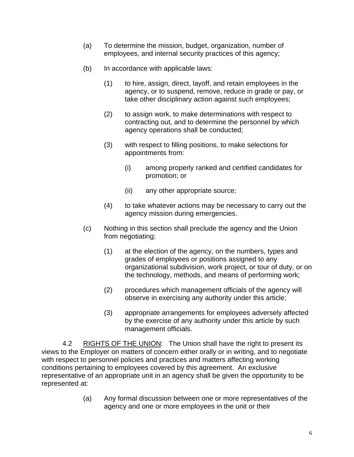- (a) To determine the mission, budget, organization, number of employees, and internal security practices of this agency;
- (b) In accordance with applicable laws:
	- (1) to hire, assign, direct, layoff, and retain employees in the agency, or to suspend, remove, reduce in grade or pay, or take other disciplinary action against such employees;
	- (2) to assign work, to make determinations with respect to contracting out, and to determine the personnel by which agency operations shall be conducted;
	- (3) with respect to filling positions, to make selections for appointments from:
		- (i) among properly ranked and certified candidates for promotion; or
		- (ii) any other appropriate source;
	- (4) to take whatever actions may be necessary to carry out the agency mission during emergencies.
- (c) Nothing in this section shall preclude the agency and the Union from negotiating;
	- (1) at the election of the agency, on the numbers, types and grades of employees or positions assigned to any organizational subdivision, work project, or tour of duty, or on the technology, methods, and means of performing work;
	- (2) procedures which management officials of the agency will observe in exercising any authority under this article;
	- (3) appropriate arrangements for employees adversely affected by the exercise of any authority under this article by such management officials.

4.2 RIGHTS OF THE UNION: The Union shall have the right to present its views to the Employer on matters of concern either orally or in writing, and to negotiate with respect to personnel policies and practices and matters affecting working conditions pertaining to employees covered by this agreement. An exclusive representative of an appropriate unit in an agency shall be given the opportunity to be represented at:

> (a) Any formal discussion between one or more representatives of the agency and one or more employees in the unit or their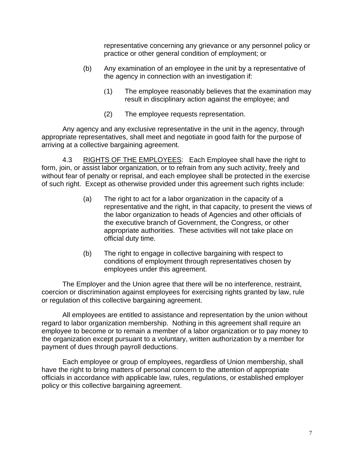representative concerning any grievance or any personnel policy or practice or other general condition of employment; or

- (b) Any examination of an employee in the unit by a representative of the agency in connection with an investigation if:
	- (1) The employee reasonably believes that the examination may result in disciplinary action against the employee; and
	- (2) The employee requests representation.

Any agency and any exclusive representative in the unit in the agency, through appropriate representatives, shall meet and negotiate in good faith for the purpose of arriving at a collective bargaining agreement.

4.3 RIGHTS OF THE EMPLOYEES: Each Employee shall have the right to form, join, or assist labor organization, or to refrain from any such activity, freely and without fear of penalty or reprisal, and each employee shall be protected in the exercise of such right. Except as otherwise provided under this agreement such rights include:

- (a) The right to act for a labor organization in the capacity of a representative and the right, in that capacity, to present the views of the labor organization to heads of Agencies and other officials of the executive branch of Government, the Congress, or other appropriate authorities. These activities will not take place on official duty time.
- (b) The right to engage in collective bargaining with respect to conditions of employment through representatives chosen by employees under this agreement.

The Employer and the Union agree that there will be no interference, restraint, coercion or discrimination against employees for exercising rights granted by law, rule or regulation of this collective bargaining agreement.

All employees are entitled to assistance and representation by the union without regard to labor organization membership. Nothing in this agreement shall require an employee to become or to remain a member of a labor organization or to pay money to the organization except pursuant to a voluntary, written authorization by a member for payment of dues through payroll deductions.

Each employee or group of employees, regardless of Union membership, shall have the right to bring matters of personal concern to the attention of appropriate officials in accordance with applicable law, rules, regulations, or established employer policy or this collective bargaining agreement.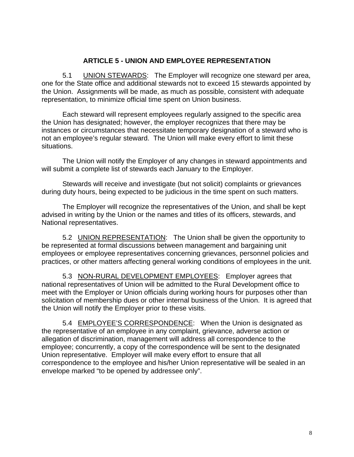#### **ARTICLE 5 - UNION AND EMPLOYEE REPRESENTATION**

5.1 UNION STEWARDS: The Employer will recognize one steward per area, one for the State office and additional stewards not to exceed 15 stewards appointed by the Union. Assignments will be made, as much as possible, consistent with adequate representation, to minimize official time spent on Union business.

Each steward will represent employees regularly assigned to the specific area the Union has designated; however, the employer recognizes that there may be instances or circumstances that necessitate temporary designation of a steward who is not an employee's regular steward. The Union will make every effort to limit these situations.

The Union will notify the Employer of any changes in steward appointments and will submit a complete list of stewards each January to the Employer.

Stewards will receive and investigate (but not solicit) complaints or grievances during duty hours, being expected to be judicious in the time spent on such matters.

The Employer will recognize the representatives of the Union, and shall be kept advised in writing by the Union or the names and titles of its officers, stewards, and National representatives.

5.2 **UNION REPRESENTATION:** The Union shall be given the opportunity to be represented at formal discussions between management and bargaining unit employees or employee representatives concerning grievances, personnel policies and practices, or other matters affecting general working conditions of employees in the unit.

5.3 NON-RURAL DEVELOPMENT EMPLOYEES: Employer agrees that national representatives of Union will be admitted to the Rural Development office to meet with the Employer or Union officials during working hours for purposes other than solicitation of membership dues or other internal business of the Union. It is agreed that the Union will notify the Employer prior to these visits.

5.4 EMPLOYEE'S CORRESPONDENCE: When the Union is designated as the representative of an employee in any complaint, grievance, adverse action or allegation of discrimination, management will address all correspondence to the employee; concurrently, a copy of the correspondence will be sent to the designated Union representative. Employer will make every effort to ensure that all correspondence to the employee and his/her Union representative will be sealed in an envelope marked "to be opened by addressee only".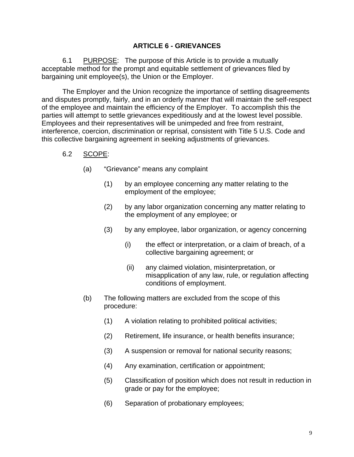#### **ARTICLE 6 - GRIEVANCES**

6.1 PURPOSE: The purpose of this Article is to provide a mutually acceptable method for the prompt and equitable settlement of grievances filed by bargaining unit employee(s), the Union or the Employer.

The Employer and the Union recognize the importance of settling disagreements and disputes promptly, fairly, and in an orderly manner that will maintain the self-respect of the employee and maintain the efficiency of the Employer. To accomplish this the parties will attempt to settle grievances expeditiously and at the lowest level possible. Employees and their representatives will be unimpeded and free from restraint, interference, coercion, discrimination or reprisal, consistent with Title 5 U.S. Code and this collective bargaining agreement in seeking adjustments of grievances.

#### 6.2 SCOPE:

- (a) "Grievance" means any complaint
	- (1) by an employee concerning any matter relating to the employment of the employee;
	- (2) by any labor organization concerning any matter relating to the employment of any employee; or
	- (3) by any employee, labor organization, or agency concerning
		- (i) the effect or interpretation, or a claim of breach, of a collective bargaining agreement; or
		- (ii) any claimed violation, misinterpretation, or misapplication of any law, rule, or regulation affecting conditions of employment.
- (b) The following matters are excluded from the scope of this procedure:
	- (1) A violation relating to prohibited political activities;
	- (2) Retirement, life insurance, or health benefits insurance;
	- (3) A suspension or removal for national security reasons;
	- (4) Any examination, certification or appointment;
	- (5) Classification of position which does not result in reduction in grade or pay for the employee;
	- (6) Separation of probationary employees;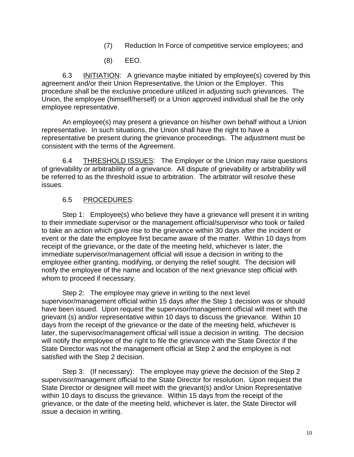- (7) Reduction In Force of competitive service employees; and
- (8) EEO.

6.3 INITIATION: A grievance maybe initiated by employee(s) covered by this agreement and/or their Union Representative, the Union or the Employer. This procedure shall be the exclusive procedure utilized in adjusting such grievances. The Union, the employee (himself/herself) or a Union approved individual shall be the only employee representative.

An employee(s) may present a grievance on his/her own behalf without a Union representative. In such situations, the Union shall have the right to have a representative be present during the grievance proceedings. The adjustment must be consistent with the terms of the Agreement.

6.4 THRESHOLD ISSUES: The Employer or the Union may raise questions of grievability or arbitrability of a grievance. All dispute of grievability or arbitrability will be referred to as the threshold issue to arbitration. The arbitrator will resolve these issues.

# 6.5 PROCEDURES:

Step 1: Employee(s) who believe they have a grievance will present it in writing to their immediate supervisor or the management official/supervisor who took or failed to take an action which gave rise to the grievance within 30 days after the incident or event or the date the employee first became aware of the matter. Within 10 days from receipt of the grievance, or the date of the meeting held, whichever is later, the immediate supervisor/management official will issue a decision in writing to the employee either granting, modifying, or denying the relief sought. The decision will notify the employee of the name and location of the next grievance step official with whom to proceed if necessary.

Step 2: The employee may grieve in writing to the next level supervisor/management official within 15 days after the Step 1 decision was or should have been issued. Upon request the supervisor/management official will meet with the grievant (s) and/or representative within 10 days to discuss the grievance. Within 10 days from the receipt of the grievance or the date of the meeting held, whichever is later, the supervisor/management official will issue a decision in writing. The decision will notify the employee of the right to file the grievance with the State Director if the State Director was not the management official at Step 2 and the employee is not satisfied with the Step 2 decision.

Step 3: (If necessary): The employee may grieve the decision of the Step 2 supervisor/management official to the State Director for resolution. Upon request the State Director or designee will meet with the grievant(s) and/or Union Representative within 10 days to discuss the grievance. Within 15 days from the receipt of the grievance, or the date of the meeting held, whichever is later, the State Director will issue a decision in writing.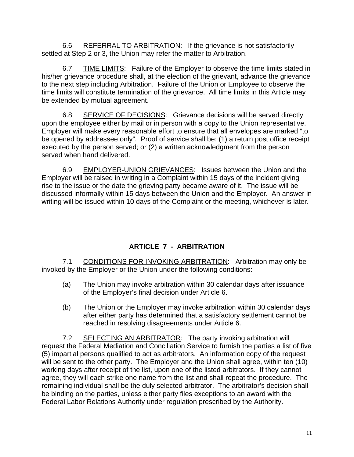6.6 REFERRAL TO ARBITRATION: If the grievance is not satisfactorily settled at Step 2 or 3, the Union may refer the matter to Arbitration.

6.7 TIME LIMITS: Failure of the Employer to observe the time limits stated in his/her grievance procedure shall, at the election of the grievant, advance the grievance to the next step including Arbitration. Failure of the Union or Employee to observe the time limits will constitute termination of the grievance. All time limits in this Article may be extended by mutual agreement.

6.8 SERVICE OF DECISIONS: Grievance decisions will be served directly upon the employee either by mail or in person with a copy to the Union representative. Employer will make every reasonable effort to ensure that all envelopes are marked "to be opened by addressee only". Proof of service shall be: (1) a return post office receipt executed by the person served; or (2) a written acknowledgment from the person served when hand delivered.

6.9 EMPLOYER-UNION GRIEVANCES: Issues between the Union and the Employer will be raised in writing in a Complaint within 15 days of the incident giving rise to the issue or the date the grieving party became aware of it. The issue will be discussed informally within 15 days between the Union and the Employer. An answer in writing will be issued within 10 days of the Complaint or the meeting, whichever is later.

# **ARTICLE 7 - ARBITRATION**

7.1 CONDITIONS FOR INVOKING ARBITRATION: Arbitration may only be invoked by the Employer or the Union under the following conditions:

- (a) The Union may invoke arbitration within 30 calendar days after issuance of the Employer's final decision under Article 6.
- (b) The Union or the Employer may invoke arbitration within 30 calendar days after either party has determined that a satisfactory settlement cannot be reached in resolving disagreements under Article 6.

7.2 SELECTING AN ARBITRATOR: The party invoking arbitration will request the Federal Mediation and Conciliation Service to furnish the parties a list of five (5) impartial persons qualified to act as arbitrators. An information copy of the request will be sent to the other party. The Employer and the Union shall agree, within ten (10) working days after receipt of the list, upon one of the listed arbitrators. If they cannot agree, they will each strike one name from the list and shall repeat the procedure. The remaining individual shall be the duly selected arbitrator. The arbitrator's decision shall be binding on the parties, unless either party files exceptions to an award with the Federal Labor Relations Authority under regulation prescribed by the Authority.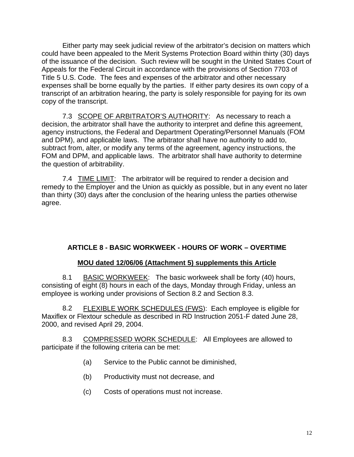Either party may seek judicial review of the arbitrator's decision on matters which could have been appealed to the Merit Systems Protection Board within thirty (30) days of the issuance of the decision. Such review will be sought in the United States Court of Appeals for the Federal Circuit in accordance with the provisions of Section 7703 of Title 5 U.S. Code. The fees and expenses of the arbitrator and other necessary expenses shall be borne equally by the parties. If either party desires its own copy of a transcript of an arbitration hearing, the party is solely responsible for paying for its own copy of the transcript.

7.3 SCOPE OF ARBITRATOR'S AUTHORITY: As necessary to reach a decision, the arbitrator shall have the authority to interpret and define this agreement, agency instructions, the Federal and Department Operating/Personnel Manuals (FOM and DPM), and applicable laws. The arbitrator shall have no authority to add to, subtract from, alter, or modify any terms of the agreement, agency instructions, the FOM and DPM, and applicable laws. The arbitrator shall have authority to determine the question of arbitrability.

7.4 TIME LIMIT: The arbitrator will be required to render a decision and remedy to the Employer and the Union as quickly as possible, but in any event no later than thirty (30) days after the conclusion of the hearing unless the parties otherwise agree.

# **ARTICLE 8 - BASIC WORKWEEK - HOURS OF WORK – OVERTIME**

#### **MOU dated 12/06/06 (Attachment 5) supplements this Article**

8.1 BASIC WORKWEEK: The basic workweek shall be forty (40) hours, consisting of eight (8) hours in each of the days, Monday through Friday, unless an employee is working under provisions of Section 8.2 and Section 8.3.

8.2 FLEXIBLE WORK SCHEDULES (FWS): Each employee is eligible for Maxiflex or Flextour schedule as described in RD Instruction 2051-F dated June 28, 2000, and revised April 29, 2004.

8.3 COMPRESSED WORK SCHEDULE: All Employees are allowed to participate if the following criteria can be met:

- (a) Service to the Public cannot be diminished,
- (b) Productivity must not decrease, and
- (c) Costs of operations must not increase.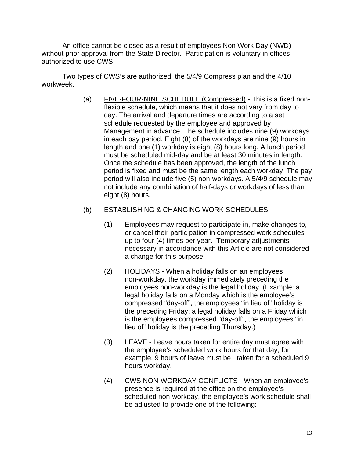An office cannot be closed as a result of employees Non Work Day (NWD) without prior approval from the State Director. Participation is voluntary in offices authorized to use CWS.

Two types of CWS's are authorized: the 5/4/9 Compress plan and the 4/10 workweek.

> (a) FIVE-FOUR-NINE SCHEDULE (Compressed) - This is a fixed nonflexible schedule, which means that it does not vary from day to day. The arrival and departure times are according to a set schedule requested by the employee and approved by Management in advance. The schedule includes nine (9) workdays in each pay period. Eight (8) of the workdays are nine (9) hours in length and one (1) workday is eight (8) hours long. A lunch period must be scheduled mid-day and be at least 30 minutes in length. Once the schedule has been approved, the length of the lunch period is fixed and must be the same length each workday. The pay period will also include five (5) non-workdays. A 5/4/9 schedule may not include any combination of half-days or workdays of less than eight (8) hours.

#### (b) ESTABLISHING & CHANGING WORK SCHEDULES:

- (1) Employees may request to participate in, make changes to, or cancel their participation in compressed work schedules up to four (4) times per year. Temporary adjustments necessary in accordance with this Article are not considered a change for this purpose.
- (2) HOLIDAYS When a holiday falls on an employees non-workday, the workday immediately preceding the employees non-workday is the legal holiday. (Example: a legal holiday falls on a Monday which is the employee's compressed "day-off", the employees "in lieu of" holiday is the preceding Friday; a legal holiday falls on a Friday which is the employees compressed "day-off", the employees "in lieu of" holiday is the preceding Thursday.)
- (3) LEAVE Leave hours taken for entire day must agree with the employee's scheduled work hours for that day; for example, 9 hours of leave must be taken for a scheduled 9 hours workday.
- (4) CWS NON-WORKDAY CONFLICTS When an employee's presence is required at the office on the employee's scheduled non-workday, the employee's work schedule shall be adjusted to provide one of the following: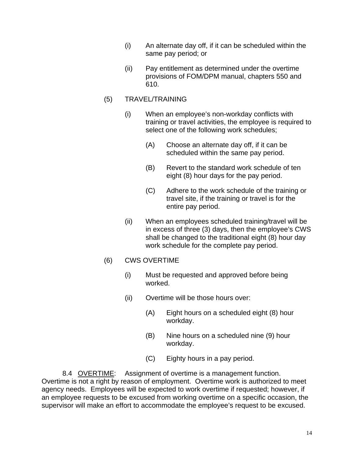- (i) An alternate day off, if it can be scheduled within the same pay period; or
- (ii) Pay entitlement as determined under the overtime provisions of FOM/DPM manual, chapters 550 and 610.

#### (5) TRAVEL/TRAINING

- (i) When an employee's non-workday conflicts with training or travel activities, the employee is required to select one of the following work schedules;
	- (A) Choose an alternate day off, if it can be scheduled within the same pay period.
	- (B) Revert to the standard work schedule of ten eight (8) hour days for the pay period.
	- (C) Adhere to the work schedule of the training or travel site, if the training or travel is for the entire pay period.
- (ii) When an employees scheduled training/travel will be in excess of three (3) days, then the employee's CWS shall be changed to the traditional eight (8) hour day work schedule for the complete pay period.

#### (6) CWS OVERTIME

- (i) Must be requested and approved before being worked.
- (ii) Overtime will be those hours over:
	- (A) Eight hours on a scheduled eight (8) hour workday.
	- (B) Nine hours on a scheduled nine (9) hour workday.
	- (C) Eighty hours in a pay period.

8.4 OVERTIME: Assignment of overtime is a management function. Overtime is not a right by reason of employment. Overtime work is authorized to meet agency needs. Employees will be expected to work overtime if requested; however, if an employee requests to be excused from working overtime on a specific occasion, the supervisor will make an effort to accommodate the employee's request to be excused.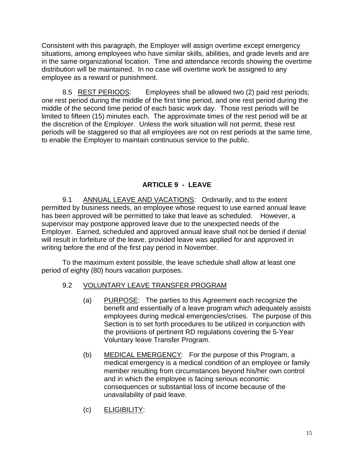Consistent with this paragraph, the Employer will assign overtime except emergency situations, among employees who have similar skills, abilities, and grade levels and are in the same organizational location. Time and attendance records showing the overtime distribution will be maintained. In no case will overtime work be assigned to any employee as a reward or punishment.

8.5 REST PERIODS: Employees shall be allowed two (2) paid rest periods; one rest period during the middle of the first time period, and one rest period during the middle of the second time period of each basic work day. Those rest periods will be limited to fifteen (15) minutes each. The approximate times of the rest period will be at the discretion of the Employer. Unless the work situation will not permit, these rest periods will be staggered so that all employees are not on rest periods at the same time, to enable the Employer to maintain continuous service to the public.

# **ARTICLE 9 - LEAVE**

9.1 ANNUAL LEAVE AND VACATIONS: Ordinarily, and to the extent permitted by business needs, an employee whose request to use earned annual leave has been approved will be permitted to take that leave as scheduled. However, a supervisor may postpone approved leave due to the unexpected needs of the Employer. Earned, scheduled and approved annual leave shall not be denied if denial will result in forfeiture of the leave, provided leave was applied for and approved in writing before the end of the first pay period in November.

To the maximum extent possible, the leave schedule shall allow at least one period of eighty (80) hours vacation purposes.

- 9.2 VOLUNTARY LEAVE TRANSFER PROGRAM
	- (a) PURPOSE: The parties to this Agreement each recognize the benefit and essentially of a leave program which adequately assists employees during medical emergencies/crises. The purpose of this Section is to set forth procedures to be utilized in conjunction with the provisions of pertinent RD regulations covering the 5-Year Voluntary leave Transfer Program.
	- (b) MEDICAL EMERGENCY: For the purpose of this Program, a medical emergency is a medical condition of an employee or family member resulting from circumstances beyond his/her own control and in which the employee is facing serious economic consequences or substantial loss of income because of the unavailability of paid leave.
	- (c) ELIGIBILITY: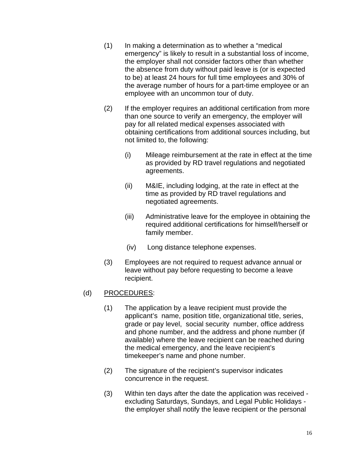- (1) In making a determination as to whether a "medical emergency" is likely to result in a substantial loss of income, the employer shall not consider factors other than whether the absence from duty without paid leave is (or is expected to be) at least 24 hours for full time employees and 30% of the average number of hours for a part-time employee or an employee with an uncommon tour of duty.
- (2) If the employer requires an additional certification from more than one source to verify an emergency, the employer will pay for all related medical expenses associated with obtaining certifications from additional sources including, but not limited to, the following:
	- (i) Mileage reimbursement at the rate in effect at the time as provided by RD travel regulations and negotiated agreements.
	- (ii) M&IE, including lodging, at the rate in effect at the time as provided by RD travel regulations and negotiated agreements.
	- (iii) Administrative leave for the employee in obtaining the required additional certifications for himself/herself or family member.
	- (iv) Long distance telephone expenses.
- (3) Employees are not required to request advance annual or leave without pay before requesting to become a leave recipient.

#### (d) PROCEDURES:

- (1) The application by a leave recipient must provide the applicant's name, position title, organizational title, series, grade or pay level, social security number, office address and phone number, and the address and phone number (if available) where the leave recipient can be reached during the medical emergency, and the leave recipient's timekeeper's name and phone number.
- (2) The signature of the recipient's supervisor indicates concurrence in the request.
- (3) Within ten days after the date the application was received excluding Saturdays, Sundays, and Legal Public Holidays the employer shall notify the leave recipient or the personal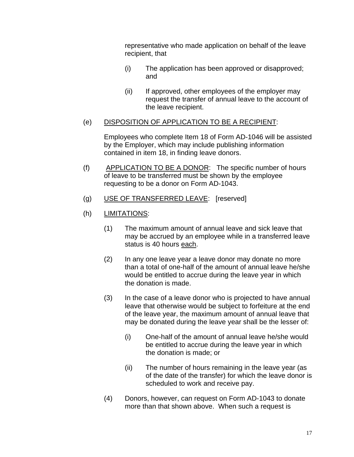representative who made application on behalf of the leave recipient, that

- (i) The application has been approved or disapproved; and
- (ii) If approved, other employees of the employer may request the transfer of annual leave to the account of the leave recipient.

#### (e) DISPOSITION OF APPLICATION TO BE A RECIPIENT:

Employees who complete Item 18 of Form AD-1046 will be assisted by the Employer, which may include publishing information contained in item 18, in finding leave donors.

- (f) APPLICATION TO BE A DONOR: The specific number of hours of leave to be transferred must be shown by the employee requesting to be a donor on Form AD-1043.
- (g) USE OF TRANSFERRED LEAVE: [reserved]
- (h) LIMITATIONS:
	- (1) The maximum amount of annual leave and sick leave that may be accrued by an employee while in a transferred leave status is 40 hours each.
	- (2) In any one leave year a leave donor may donate no more than a total of one-half of the amount of annual leave he/she would be entitled to accrue during the leave year in which the donation is made.
	- (3) In the case of a leave donor who is projected to have annual leave that otherwise would be subject to forfeiture at the end of the leave year, the maximum amount of annual leave that may be donated during the leave year shall be the lesser of:
		- (i) One-half of the amount of annual leave he/she would be entitled to accrue during the leave year in which the donation is made; or
		- (ii) The number of hours remaining in the leave year (as of the date of the transfer) for which the leave donor is scheduled to work and receive pay.
	- (4) Donors, however, can request on Form AD-1043 to donate more than that shown above. When such a request is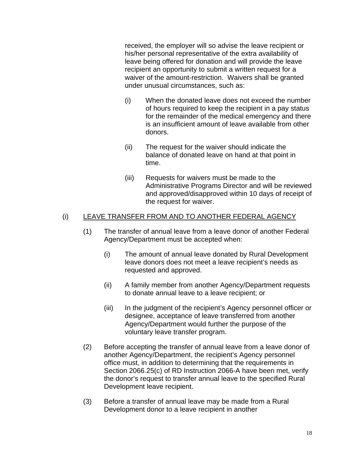received, the employer will so advise the leave recipient or his/her personal representative of the extra availability of leave being offered for donation and will provide the leave recipient an opportunity to submit a written request for a waiver of the amount-restriction. Waivers shall be granted under unusual circumstances, such as:

- (i) When the donated leave does not exceed the number of hours required to keep the recipient in a pay status for the remainder of the medical emergency and there is an insufficient amount of leave available from other donors.
- (ii) The request for the waiver should indicate the balance of donated leave on hand at that point in time.
- (iii) Requests for waivers must be made to the Administrative Programs Director and will be reviewed and approved/disapproved within 10 days of receipt of the request for waiver.

# (i) LEAVE TRANSFER FROM AND TO ANOTHER FEDERAL AGENCY

- (1) The transfer of annual leave from a leave donor of another Federal Agency/Department must be accepted when:
	- (i) The amount of annual leave donated by Rural Development leave donors does not meet a leave recipient's needs as requested and approved.
	- (ii) A family member from another Agency/Department requests to donate annual leave to a leave recipient; or
	- (iii) In the judgment of the recipient's Agency personnel officer or designee, acceptance of leave transferred from another Agency/Department would further the purpose of the voluntary leave transfer program.
- (2) Before accepting the transfer of annual leave from a leave donor of another Agency/Department, the recipient's Agency personnel office must, in addition to determining that the requirements in Section 2066.25(c) of RD Instruction 2066-A have been met, verify the donor's request to transfer annual leave to the specified Rural Development leave recipient.
- (3) Before a transfer of annual leave may be made from a Rural Development donor to a leave recipient in another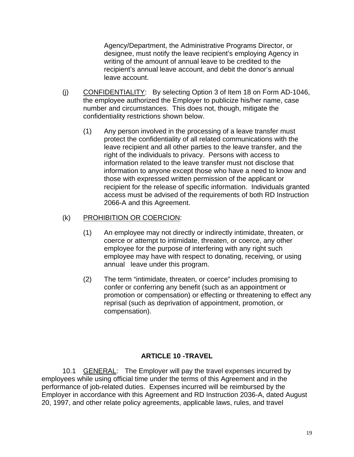Agency/Department, the Administrative Programs Director, or designee, must notify the leave recipient's employing Agency in writing of the amount of annual leave to be credited to the recipient's annual leave account, and debit the donor's annual leave account.

- (j) CONFIDENTIALITY: By selecting Option 3 of Item 18 on Form AD-1046, the employee authorized the Employer to publicize his/her name, case number and circumstances. This does not, though, mitigate the confidentiality restrictions shown below.
	- (1) Any person involved in the processing of a leave transfer must protect the confidentiality of all related communications with the leave recipient and all other parties to the leave transfer, and the right of the individuals to privacy. Persons with access to information related to the leave transfer must not disclose that information to anyone except those who have a need to know and those with expressed written permission of the applicant or recipient for the release of specific information. Individuals granted access must be advised of the requirements of both RD Instruction 2066-A and this Agreement.

#### (k) PROHIBITION OR COERCION:

- (1) An employee may not directly or indirectly intimidate, threaten, or coerce or attempt to intimidate, threaten, or coerce, any other employee for the purpose of interfering with any right such employee may have with respect to donating, receiving, or using annual leave under this program.
- (2) The term "intimidate, threaten, or coerce" includes promising to confer or conferring any benefit (such as an appointment or promotion or compensation) or effecting or threatening to effect any reprisal (such as deprivation of appointment, promotion, or compensation).

#### **ARTICLE 10 -TRAVEL**

10.1 GENERAL: The Employer will pay the travel expenses incurred by employees while using official time under the terms of this Agreement and in the performance of job-related duties. Expenses incurred will be reimbursed by the Employer in accordance with this Agreement and RD Instruction 2036-A, dated August 20, 1997, and other relate policy agreements, applicable laws, rules, and travel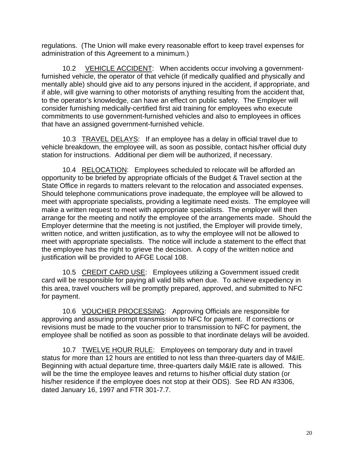regulations. (The Union will make every reasonable effort to keep travel expenses for administration of this Agreement to a minimum.)

10.2 VEHICLE ACCIDENT: When accidents occur involving a governmentfurnished vehicle, the operator of that vehicle (if medically qualified and physically and mentally able) should give aid to any persons injured in the accident, if appropriate, and if able, will give warning to other motorists of anything resulting from the accident that, to the operator's knowledge, can have an effect on public safety. The Employer will consider furnishing medically-certified first aid training for employees who execute commitments to use government-furnished vehicles and also to employees in offices that have an assigned government-furnished vehicle.

10.3 TRAVEL DELAYS: If an employee has a delay in official travel due to vehicle breakdown, the employee will, as soon as possible, contact his/her official duty station for instructions. Additional per diem will be authorized, if necessary.

10.4 RELOCATION: Employees scheduled to relocate will be afforded an opportunity to be briefed by appropriate officials of the Budget & Travel section at the State Office in regards to matters relevant to the relocation and associated expenses. Should telephone communications prove inadequate, the employee will be allowed to meet with appropriate specialists, providing a legitimate need exists. The employee will make a written request to meet with appropriate specialists. The employer will then arrange for the meeting and notify the employee of the arrangements made. Should the Employer determine that the meeting is not justified, the Employer will provide timely, written notice, and written justification, as to why the employee will not be allowed to meet with appropriate specialists. The notice will include a statement to the effect that the employee has the right to grieve the decision. A copy of the written notice and justification will be provided to AFGE Local 108.

10.5 CREDIT CARD USE: Employees utilizing a Government issued credit card will be responsible for paying all valid bills when due. To achieve expediency in this area, travel vouchers will be promptly prepared, approved, and submitted to NFC for payment.

10.6 VOUCHER PROCESSING: Approving Officials are responsible for approving and assuring prompt transmission to NFC for payment. If corrections or revisions must be made to the voucher prior to transmission to NFC for payment, the employee shall be notified as soon as possible to that inordinate delays will be avoided.

10.7 TWELVE HOUR RULE: Employees on temporary duty and in travel status for more than 12 hours are entitled to not less than three-quarters day of M&IE. Beginning with actual departure time, three-quarters daily M&IE rate is allowed. This will be the time the employee leaves and returns to his/her official duty station (or his/her residence if the employee does not stop at their ODS). See RD AN #3306, dated January 16, 1997 and FTR 301-7.7.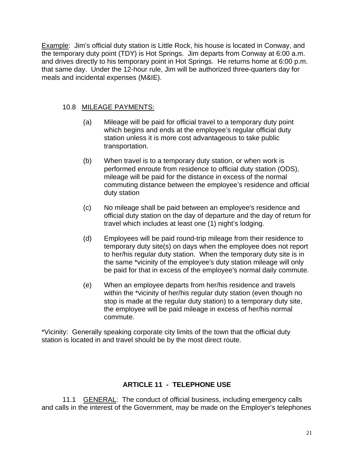Example: Jim's official duty station is Little Rock, his house is located in Conway, and the temporary duty point (TDY) is Hot Springs. Jim departs from Conway at 6:00 a.m. and drives directly to his temporary point in Hot Springs. He returns home at 6:00 p.m. that same day. Under the 12-hour rule, Jim will be authorized three-quarters day for meals and incidental expenses (M&IE).

# 10.8 MILEAGE PAYMENTS:

- (a) Mileage will be paid for official travel to a temporary duty point which begins and ends at the employee's regular official duty station unless it is more cost advantageous to take public transportation.
- (b) When travel is to a temporary duty station, or when work is performed enroute from residence to official duty station (ODS), mileage will be paid for the distance in excess of the normal commuting distance between the employee's residence and official duty station
- (c) No mileage shall be paid between an employee's residence and official duty station on the day of departure and the day of return for travel which includes at least one (1) night's lodging.
- (d) Employees will be paid round-trip mileage from their residence to temporary duty site(s) on days when the employee does not report to her/his regular duty station. When the temporary duty site is in the same \*vicinity of the employee's duty station mileage will only be paid for that in excess of the employee's normal daily commute.
- (e) When an employee departs from her/his residence and travels within the \*vicinity of her/his regular duty station (even though no stop is made at the regular duty station) to a temporary duty site, the employee will be paid mileage in excess of her/his normal commute.

\*Vicinity: Generally speaking corporate city limits of the town that the official duty station is located in and travel should be by the most direct route.

# **ARTICLE 11 - TELEPHONE USE**

11.1 **GENERAL:** The conduct of official business, including emergency calls and calls in the interest of the Government, may be made on the Employer's telephones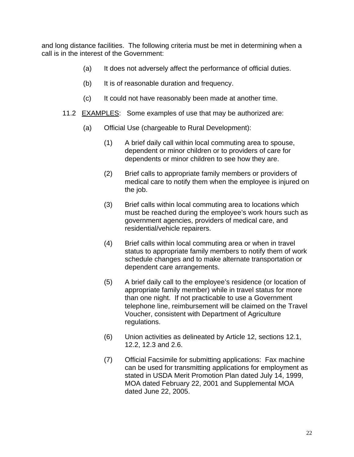and long distance facilities. The following criteria must be met in determining when a call is in the interest of the Government:

- (a) It does not adversely affect the performance of official duties.
- (b) It is of reasonable duration and frequency.
- (c) It could not have reasonably been made at another time.
- 11.2 **EXAMPLES:** Some examples of use that may be authorized are:
	- (a) Official Use (chargeable to Rural Development):
		- (1) A brief daily call within local commuting area to spouse, dependent or minor children or to providers of care for dependents or minor children to see how they are.
		- (2) Brief calls to appropriate family members or providers of medical care to notify them when the employee is injured on the job.
		- (3) Brief calls within local commuting area to locations which must be reached during the employee's work hours such as government agencies, providers of medical care, and residential/vehicle repairers.
		- (4) Brief calls within local commuting area or when in travel status to appropriate family members to notify them of work schedule changes and to make alternate transportation or dependent care arrangements.
		- (5) A brief daily call to the employee's residence (or location of appropriate family member) while in travel status for more than one night. If not practicable to use a Government telephone line, reimbursement will be claimed on the Travel Voucher, consistent with Department of Agriculture regulations.
		- (6) Union activities as delineated by Article 12, sections 12.1, 12.2, 12.3 and 2.6.
		- (7) Official Facsimile for submitting applications: Fax machine can be used for transmitting applications for employment as stated in USDA Merit Promotion Plan dated July 14, 1999, MOA dated February 22, 2001 and Supplemental MOA dated June 22, 2005.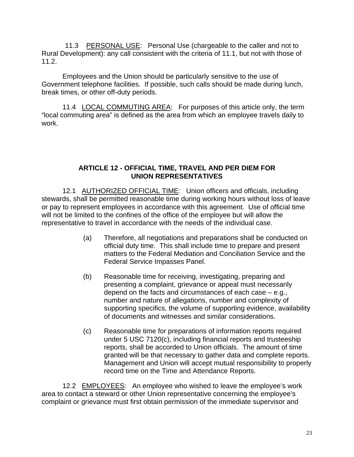11.3 PERSONAL USE: Personal Use (chargeable to the caller and not to Rural Development): any call consistent with the criteria of 11.1, but not with those of 11.2.

Employees and the Union should be particularly sensitive to the use of Government telephone facilities. If possible, such calls should be made during lunch, break times, or other off-duty periods.

11.4 LOCAL COMMUTING AREA: For purposes of this article only, the term "local commuting area" is defined as the area from which an employee travels daily to work.

# **ARTICLE 12 - OFFICIAL TIME, TRAVEL AND PER DIEM FOR UNION REPRESENTATIVES**

12.1 AUTHORIZED OFFICIAL TIME: Union officers and officials, including stewards, shall be permitted reasonable time during working hours without loss of leave or pay to represent employees in accordance with this agreement. Use of official time will not be limited to the confines of the office of the employee but will allow the representative to travel in accordance with the needs of the individual case.

- (a) Therefore, all negotiations and preparations shall be conducted on official duty time. This shall include time to prepare and present matters to the Federal Mediation and Conciliation Service and the Federal Service Impasses Panel.
- (b) Reasonable time for receiving, investigating, preparing and presenting a complaint, grievance or appeal must necessarily depend on the facts and circumstances of each case – e.g., number and nature of allegations, number and complexity of supporting specifics, the volume of supporting evidence, availability of documents and witnesses and similar considerations.
- (c) Reasonable time for preparations of information reports required under 5 USC 7120(c), including financial reports and trusteeship reports, shall be accorded to Union officials. The amount of time granted will be that necessary to gather data and complete reports. Management and Union will accept mutual responsibility to properly record time on the Time and Attendance Reports.

12.2 EMPLOYEES: An employee who wished to leave the employee's work area to contact a steward or other Union representative concerning the employee's complaint or grievance must first obtain permission of the immediate supervisor and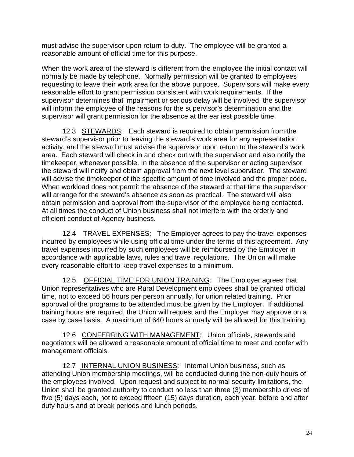must advise the supervisor upon return to duty. The employee will be granted a reasonable amount of official time for this purpose.

When the work area of the steward is different from the employee the initial contact will normally be made by telephone. Normally permission will be granted to employees requesting to leave their work area for the above purpose. Supervisors will make every reasonable effort to grant permission consistent with work requirements. If the supervisor determines that impairment or serious delay will be involved, the supervisor will inform the employee of the reasons for the supervisor's determination and the supervisor will grant permission for the absence at the earliest possible time.

12.3 STEWARDS: Each steward is required to obtain permission from the steward's supervisor prior to leaving the steward's work area for any representation activity, and the steward must advise the supervisor upon return to the steward's work area. Each steward will check in and check out with the supervisor and also notify the timekeeper, whenever possible. In the absence of the supervisor or acting supervisor the steward will notify and obtain approval from the next level supervisor. The steward will advise the timekeeper of the specific amount of time involved and the proper code. When workload does not permit the absence of the steward at that time the supervisor will arrange for the steward's absence as soon as practical. The steward will also obtain permission and approval from the supervisor of the employee being contacted. At all times the conduct of Union business shall not interfere with the orderly and efficient conduct of Agency business.

12.4 TRAVEL EXPENSES: The Employer agrees to pay the travel expenses incurred by employees while using official time under the terms of this agreement. Any travel expenses incurred by such employees will be reimbursed by the Employer in accordance with applicable laws, rules and travel regulations. The Union will make every reasonable effort to keep travel expenses to a minimum.

12.5. OFFICIAL TIME FOR UNION TRAINING: The Employer agrees that Union representatives who are Rural Development employees shall be granted official time, not to exceed 56 hours per person annually, for union related training. Prior approval of the programs to be attended must be given by the Employer. If additional training hours are required, the Union will request and the Employer may approve on a case by case basis. A maximum of 640 hours annually will be allowed for this training.

12.6 CONFERRING WITH MANAGEMENT: Union officials, stewards and negotiators will be allowed a reasonable amount of official time to meet and confer with management officials.

12.7 INTERNAL UNION BUSINESS: Internal Union business, such as attending Union membership meetings, will be conducted during the non-duty hours of the employees involved. Upon request and subject to normal security limitations, the Union shall be granted authority to conduct no less than three (3) membership drives of five (5) days each, not to exceed fifteen (15) days duration, each year, before and after duty hours and at break periods and lunch periods.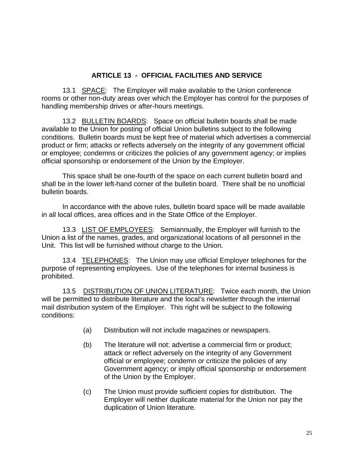# **ARTICLE 13 - OFFICIAL FACILITIES AND SERVICE**

13.1 SPACE: The Employer will make available to the Union conference rooms or other non-duty areas over which the Employer has control for the purposes of handling membership drives or after-hours meetings.

13.2 BULLETIN BOARDS: Space on official bulletin boards shall be made available to the Union for posting of official Union bulletins subject to the following conditions. Bulletin boards must be kept free of material which advertises a commercial product or firm; attacks or reflects adversely on the integrity of any government official or employee; condemns or criticizes the policies of any government agency; or implies official sponsorship or endorsement of the Union by the Employer.

This space shall be one-fourth of the space on each current bulletin board and shall be in the lower left-hand corner of the bulletin board. There shall be no unofficial bulletin boards.

In accordance with the above rules, bulletin board space will be made available in all local offices, area offices and in the State Office of the Employer.

13.3 LIST OF EMPLOYEES: Semiannually, the Employer will furnish to the Union a list of the names, grades, and organizational locations of all personnel in the Unit. This list will be furnished without charge to the Union.

13.4 TELEPHONES: The Union may use official Employer telephones for the purpose of representing employees. Use of the telephones for internal business is prohibited.

13.5 DISTRIBUTION OF UNION LITERATURE: Twice each month, the Union will be permitted to distribute literature and the local's newsletter through the internal mail distribution system of the Employer. This right will be subject to the following conditions:

- (a) Distribution will not include magazines or newspapers.
- (b) The literature will not: advertise a commercial firm or product; attack or reflect adversely on the integrity of any Government official or employee; condemn or criticize the policies of any Government agency; or imply official sponsorship or endorsement of the Union by the Employer.
- (c) The Union must provide sufficient copies for distribution. The Employer will neither duplicate material for the Union nor pay the duplication of Union literature.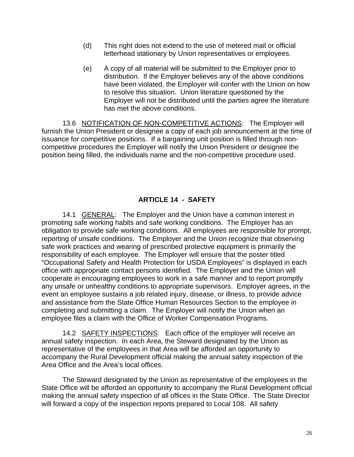- (d) This right does not extend to the use of metered mail or official letterhead stationary by Union representatives or employees.
- (e) A copy of all material will be submitted to the Employer prior to distribution. If the Employer believes any of the above conditions have been violated, the Employer will confer with the Union on how to resolve this situation. Union literature questioned by the Employer will not be distributed until the parties agree the literature has met the above conditions.

13.6 NOTIFICATION OF NON-COMPETITIVE ACTIONS: The Employer will furnish the Union President or designee a copy of each job announcement at the time of issuance for competitive positions. If a bargaining unit position is filled through noncompetitive procedures the Employer will notify the Union President or designee the position being filled, the individuals name and the non-competitive procedure used.

#### **ARTICLE 14 - SAFETY**

14.1 GENERAL: The Employer and the Union have a common interest in promoting safe working habits and safe working conditions. The Employer has an obligation to provide safe working conditions. All employees are responsible for prompt, reporting of unsafe conditions. The Employer and the Union recognize that observing safe work practices and wearing of prescribed protective equipment is primarily the responsibility of each employee. The Employer will ensure that the poster titled "Occupational Safety and Health Protection for USDA Employees" is displayed in each office with appropriate contact persons identified. The Employer and the Union will cooperate in encouraging employees to work in a safe manner and to report promptly any unsafe or unhealthy conditions to appropriate supervisors. Employer agrees, in the event an employee sustains a job related injury, disease, or illness, to provide advice and assistance from the State Office Human Resources Section to the employee in completing and submitting a claim. The Employer will notify the Union when an employee files a claim with the Office of Worker Compensation Programs.

14.2 SAFETY INSPECTIONS: Each office of the employer will receive an annual safety inspection. In each Area, the Steward designated by the Union as representative of the employees in that Area will be afforded an opportunity to accompany the Rural Development official making the annual safety inspection of the Area Office and the Area's local offices.

The Steward designated by the Union as representative of the employees in the State Office will be afforded an opportunity to accompany the Rural Development official making the annual safety inspection of all offices in the State Office. The State Director will forward a copy of the inspection reports prepared to Local 108. All safety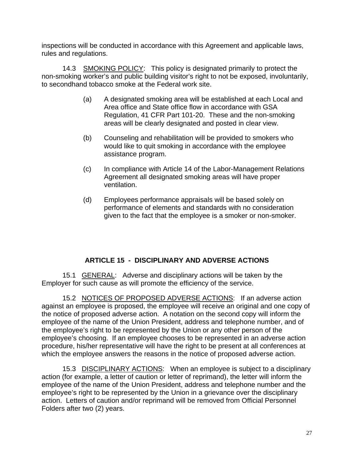inspections will be conducted in accordance with this Agreement and applicable laws, rules and regulations.

14.3 SMOKING POLICY: This policy is designated primarily to protect the non-smoking worker's and public building visitor's right to not be exposed, involuntarily, to secondhand tobacco smoke at the Federal work site.

- (a) A designated smoking area will be established at each Local and Area office and State office flow in accordance with GSA Regulation, 41 CFR Part 101-20. These and the non-smoking areas will be clearly designated and posted in clear view.
- (b) Counseling and rehabilitation will be provided to smokers who would like to quit smoking in accordance with the employee assistance program.
- (c) In compliance with Article 14 of the Labor-Management Relations Agreement all designated smoking areas will have proper ventilation.
- (d) Employees performance appraisals will be based solely on performance of elements and standards with no consideration given to the fact that the employee is a smoker or non-smoker.

# **ARTICLE 15 - DISCIPLINARY AND ADVERSE ACTIONS**

15.1 GENERAL: Adverse and disciplinary actions will be taken by the Employer for such cause as will promote the efficiency of the service.

15.2 NOTICES OF PROPOSED ADVERSE ACTIONS: If an adverse action against an employee is proposed, the employee will receive an original and one copy of the notice of proposed adverse action. A notation on the second copy will inform the employee of the name of the Union President, address and telephone number, and of the employee's right to be represented by the Union or any other person of the employee's choosing. If an employee chooses to be represented in an adverse action procedure, his/her representative will have the right to be present at all conferences at which the employee answers the reasons in the notice of proposed adverse action.

15.3 DISCIPLINARY ACTIONS: When an employee is subject to a disciplinary action (for example, a letter of caution or letter of reprimand), the letter will inform the employee of the name of the Union President, address and telephone number and the employee's right to be represented by the Union in a grievance over the disciplinary action. Letters of caution and/or reprimand will be removed from Official Personnel Folders after two (2) years.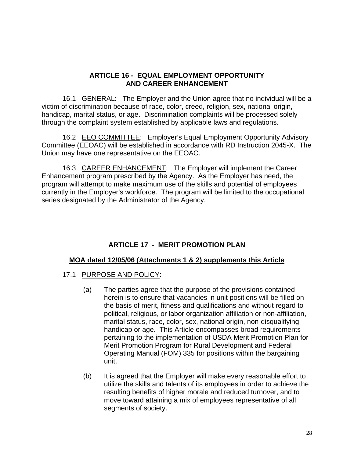#### **ARTICLE 16 - EQUAL EMPLOYMENT OPPORTUNITY AND CAREER ENHANCEMENT**

16.1 GENERAL: The Employer and the Union agree that no individual will be a victim of discrimination because of race, color, creed, religion, sex, national origin, handicap, marital status, or age. Discrimination complaints will be processed solely through the complaint system established by applicable laws and regulations.

16.2 EEO COMMITTEE: Employer's Equal Employment Opportunity Advisory Committee (EEOAC) will be established in accordance with RD Instruction 2045-X. The Union may have one representative on the EEOAC.

16.3 CAREER ENHANCEMENT: The Employer will implement the Career Enhancement program prescribed by the Agency. As the Employer has need, the program will attempt to make maximum use of the skills and potential of employees currently in the Employer's workforce. The program will be limited to the occupational series designated by the Administrator of the Agency.

# **ARTICLE 17 - MERIT PROMOTION PLAN**

# **MOA dated 12/05/06 (Attachments 1 & 2) supplements this Article**

- 17.1 PURPOSE AND POLICY:
	- (a) The parties agree that the purpose of the provisions contained herein is to ensure that vacancies in unit positions will be filled on the basis of merit, fitness and qualifications and without regard to political, religious, or labor organization affiliation or non-affiliation, marital status, race, color, sex, national origin, non-disqualifying handicap or age. This Article encompasses broad requirements pertaining to the implementation of USDA Merit Promotion Plan for Merit Promotion Program for Rural Development and Federal Operating Manual (FOM) 335 for positions within the bargaining unit.
	- (b) It is agreed that the Employer will make every reasonable effort to utilize the skills and talents of its employees in order to achieve the resulting benefits of higher morale and reduced turnover, and to move toward attaining a mix of employees representative of all segments of society.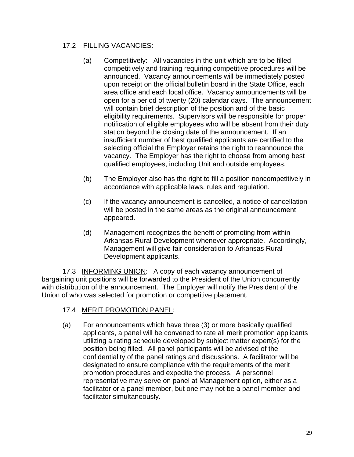#### 17.2 FILLING VACANCIES:

- (a) Competitively: All vacancies in the unit which are to be filled competitively and training requiring competitive procedures will be announced. Vacancy announcements will be immediately posted upon receipt on the official bulletin board in the State Office, each area office and each local office. Vacancy announcements will be open for a period of twenty (20) calendar days. The announcement will contain brief description of the position and of the basic eligibility requirements. Supervisors will be responsible for proper notification of eligible employees who will be absent from their duty station beyond the closing date of the announcement. If an insufficient number of best qualified applicants are certified to the selecting official the Employer retains the right to reannounce the vacancy. The Employer has the right to choose from among best qualified employees, including Unit and outside employees.
- (b) The Employer also has the right to fill a position noncompetitively in accordance with applicable laws, rules and regulation.
- (c) If the vacancy announcement is cancelled, a notice of cancellation will be posted in the same areas as the original announcement appeared.
- (d) Management recognizes the benefit of promoting from within Arkansas Rural Development whenever appropriate. Accordingly, Management will give fair consideration to Arkansas Rural Development applicants.

17.3 INFORMING UNION: A copy of each vacancy announcement of bargaining unit positions will be forwarded to the President of the Union concurrently with distribution of the announcement. The Employer will notify the President of the Union of who was selected for promotion or competitive placement.

#### 17.4 MERIT PROMOTION PANEL:

(a) For announcements which have three (3) or more basically qualified applicants, a panel will be convened to rate all merit promotion applicants utilizing a rating schedule developed by subject matter expert(s) for the position being filled. All panel participants will be advised of the confidentiality of the panel ratings and discussions. A facilitator will be designated to ensure compliance with the requirements of the merit promotion procedures and expedite the process. A personnel representative may serve on panel at Management option, either as a facilitator or a panel member, but one may not be a panel member and facilitator simultaneously.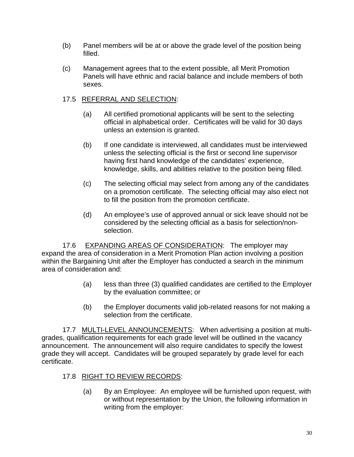- (b) Panel members will be at or above the grade level of the position being filled.
- (c) Management agrees that to the extent possible, all Merit Promotion Panels will have ethnic and racial balance and include members of both sexes.

#### 17.5 REFERRAL AND SELECTION:

- (a) All certified promotional applicants will be sent to the selecting official in alphabetical order. Certificates will be valid for 30 days unless an extension is granted.
- (b) If one candidate is interviewed, all candidates must be interviewed unless the selecting official is the first or second line supervisor having first hand knowledge of the candidates' experience, knowledge, skills, and abilities relative to the position being filled.
- (c) The selecting official may select from among any of the candidates on a promotion certificate. The selecting official may also elect not to fill the position from the promotion certificate.
- (d) An employee's use of approved annual or sick leave should not be considered by the selecting official as a basis for selection/nonselection.

17.6 EXPANDING AREAS OF CONSIDERATION: The employer may expand the area of consideration in a Merit Promotion Plan action involving a position within the Bargaining Unit after the Employer has conducted a search in the minimum area of consideration and:

- (a) less than three (3) qualified candidates are certified to the Employer by the evaluation committee; or
- (b) the Employer documents valid job-related reasons for not making a selection from the certificate.

17.7 MULTI-LEVEL ANNOUNCEMENTS: When advertising a position at multigrades, qualification requirements for each grade level will be outlined in the vacancy announcement. The announcement will also require candidates to specify the lowest grade they will accept. Candidates will be grouped separately by grade level for each certificate.

- 17.8 RIGHT TO REVIEW RECORDS:
	- (a) By an Employee: An employee will be furnished upon request, with or without representation by the Union, the following information in writing from the employer: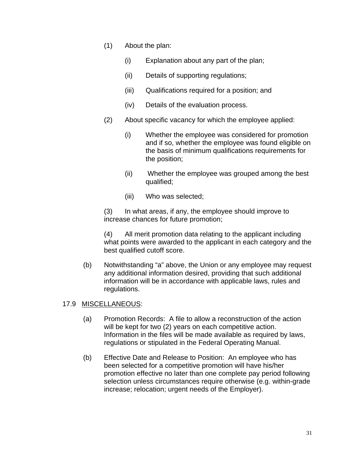- (1) About the plan:
	- (i) Explanation about any part of the plan;
	- (ii) Details of supporting regulations;
	- (iii) Qualifications required for a position; and
	- (iv) Details of the evaluation process.
- (2) About specific vacancy for which the employee applied:
	- (i) Whether the employee was considered for promotion and if so, whether the employee was found eligible on the basis of minimum qualifications requirements for the position;
	- (ii) Whether the employee was grouped among the best qualified;
	- (iii) Who was selected;

(3) In what areas, if any, the employee should improve to increase chances for future promotion;

(4) All merit promotion data relating to the applicant including what points were awarded to the applicant in each category and the best qualified cutoff score.

(b) Notwithstanding "a" above, the Union or any employee may request any additional information desired, providing that such additional information will be in accordance with applicable laws, rules and regulations.

#### 17.9 MISCELLANEOUS:

- (a) Promotion Records: A file to allow a reconstruction of the action will be kept for two (2) years on each competitive action. Information in the files will be made available as required by laws, regulations or stipulated in the Federal Operating Manual.
- (b) Effective Date and Release to Position: An employee who has been selected for a competitive promotion will have his/her promotion effective no later than one complete pay period following selection unless circumstances require otherwise (e.g. within-grade increase; relocation; urgent needs of the Employer).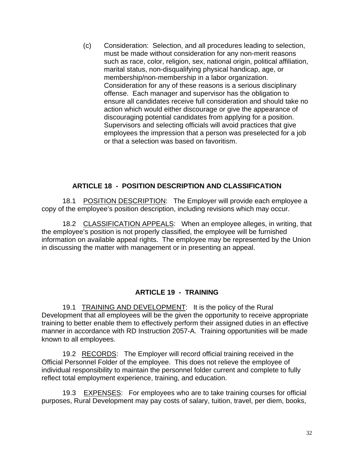(c) Consideration: Selection, and all procedures leading to selection, must be made without consideration for any non-merit reasons such as race, color, religion, sex, national origin, political affiliation, marital status, non-disqualifying physical handicap, age, or membership/non-membership in a labor organization. Consideration for any of these reasons is a serious disciplinary offense. Each manager and supervisor has the obligation to ensure all candidates receive full consideration and should take no action which would either discourage or give the appearance of discouraging potential candidates from applying for a position. Supervisors and selecting officials will avoid practices that give employees the impression that a person was preselected for a job or that a selection was based on favoritism.

# **ARTICLE 18 - POSITION DESCRIPTION AND CLASSIFICATION**

18.1 POSITION DESCRIPTION: The Employer will provide each employee a copy of the employee's position description, including revisions which may occur.

18.2 CLASSIFICATION APPEALS: When an employee alleges, in writing, that the employee's position is not properly classified, the employee will be furnished information on available appeal rights. The employee may be represented by the Union in discussing the matter with management or in presenting an appeal.

#### **ARTICLE 19 - TRAINING**

19.1 TRAINING AND DEVELOPMENT: It is the policy of the Rural Development that all employees will be the given the opportunity to receive appropriate training to better enable them to effectively perform their assigned duties in an effective manner in accordance with RD Instruction 2057-A. Training opportunities will be made known to all employees.

19.2 RECORDS: The Employer will record official training received in the Official Personnel Folder of the employee. This does not relieve the employee of individual responsibility to maintain the personnel folder current and complete to fully reflect total employment experience, training, and education.

19.3 EXPENSES: For employees who are to take training courses for official purposes, Rural Development may pay costs of salary, tuition, travel, per diem, books,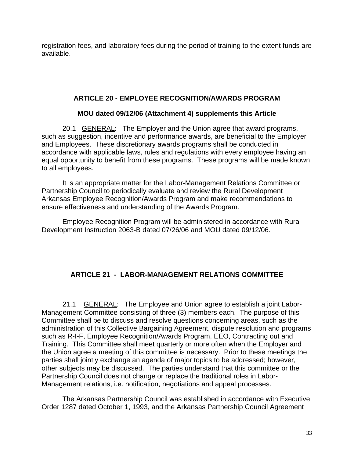registration fees, and laboratory fees during the period of training to the extent funds are available.

#### **ARTICLE 20 - EMPLOYEE RECOGNITION/AWARDS PROGRAM**

#### **MOU dated 09/12/06 (Attachment 4) supplements this Article**

20.1 GENERAL: The Employer and the Union agree that award programs, such as suggestion, incentive and performance awards, are beneficial to the Employer and Employees. These discretionary awards programs shall be conducted in accordance with applicable laws, rules and regulations with every employee having an equal opportunity to benefit from these programs. These programs will be made known to all employees.

It is an appropriate matter for the Labor-Management Relations Committee or Partnership Council to periodically evaluate and review the Rural Development Arkansas Employee Recognition/Awards Program and make recommendations to ensure effectiveness and understanding of the Awards Program.

Employee Recognition Program will be administered in accordance with Rural Development Instruction 2063-B dated 07/26/06 and MOU dated 09/12/06.

# **ARTICLE 21 - LABOR-MANAGEMENT RELATIONS COMMITTEE**

21.1 GENERAL: The Employee and Union agree to establish a joint Labor-Management Committee consisting of three (3) members each. The purpose of this Committee shall be to discuss and resolve questions concerning areas, such as the administration of this Collective Bargaining Agreement, dispute resolution and programs such as R-I-F, Employee Recognition/Awards Program, EEO, Contracting out and Training. This Committee shall meet quarterly or more often when the Employer and the Union agree a meeting of this committee is necessary. Prior to these meetings the parties shall jointly exchange an agenda of major topics to be addressed; however, other subjects may be discussed. The parties understand that this committee or the Partnership Council does not change or replace the traditional roles in Labor-Management relations, i.e. notification, negotiations and appeal processes.

The Arkansas Partnership Council was established in accordance with Executive Order 1287 dated October 1, 1993, and the Arkansas Partnership Council Agreement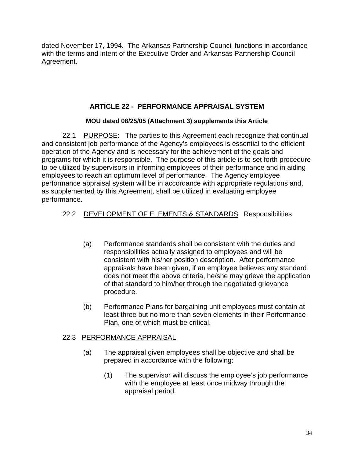dated November 17, 1994. The Arkansas Partnership Council functions in accordance with the terms and intent of the Executive Order and Arkansas Partnership Council Agreement.

# **ARTICLE 22 - PERFORMANCE APPRAISAL SYSTEM**

# **MOU dated 08/25/05 (Attachment 3) supplements this Article**

22.1 PURPOSE: The parties to this Agreement each recognize that continual and consistent job performance of the Agency's employees is essential to the efficient operation of the Agency and is necessary for the achievement of the goals and programs for which it is responsible. The purpose of this article is to set forth procedure to be utilized by supervisors in informing employees of their performance and in aiding employees to reach an optimum level of performance. The Agency employee performance appraisal system will be in accordance with appropriate regulations and, as supplemented by this Agreement, shall be utilized in evaluating employee performance.

# 22.2 DEVELOPMENT OF ELEMENTS & STANDARDS: Responsibilities

- (a) Performance standards shall be consistent with the duties and responsibilities actually assigned to employees and will be consistent with his/her position description. After performance appraisals have been given, if an employee believes any standard does not meet the above criteria, he/she may grieve the application of that standard to him/her through the negotiated grievance procedure.
- (b) Performance Plans for bargaining unit employees must contain at least three but no more than seven elements in their Performance Plan, one of which must be critical.

# 22.3 PERFORMANCE APPRAISAL

- (a) The appraisal given employees shall be objective and shall be prepared in accordance with the following:
	- (1) The supervisor will discuss the employee's job performance with the employee at least once midway through the appraisal period.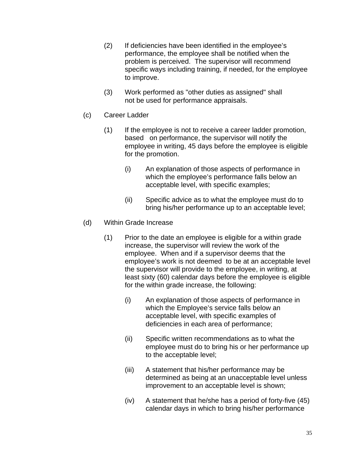- (2) If deficiencies have been identified in the employee's performance, the employee shall be notified when the problem is perceived. The supervisor will recommend specific ways including training, if needed, for the employee to improve.
- (3) Work performed as "other duties as assigned" shall not be used for performance appraisals.
- (c) Career Ladder
	- (1) If the employee is not to receive a career ladder promotion, based on performance, the supervisor will notify the employee in writing, 45 days before the employee is eligible for the promotion.
		- (i) An explanation of those aspects of performance in which the employee's performance falls below an acceptable level, with specific examples;
		- (ii) Specific advice as to what the employee must do to bring his/her performance up to an acceptable level;
- (d) Within Grade Increase
	- (1) Prior to the date an employee is eligible for a within grade increase, the supervisor will review the work of the employee. When and if a supervisor deems that the employee's work is not deemed to be at an acceptable level the supervisor will provide to the employee, in writing, at least sixty (60) calendar days before the employee is eligible for the within grade increase, the following:
		- (i) An explanation of those aspects of performance in which the Employee's service falls below an acceptable level, with specific examples of deficiencies in each area of performance;
		- (ii) Specific written recommendations as to what the employee must do to bring his or her performance up to the acceptable level;
		- (iii) A statement that his/her performance may be determined as being at an unacceptable level unless improvement to an acceptable level is shown;
		- (iv) A statement that he/she has a period of forty-five (45) calendar days in which to bring his/her performance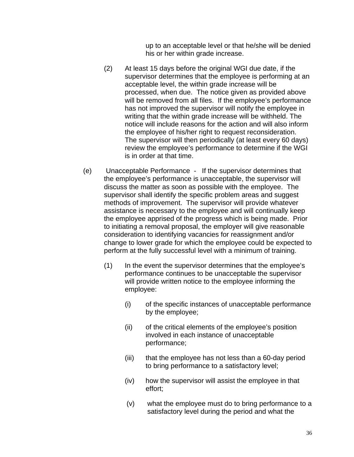up to an acceptable level or that he/she will be denied his or her within grade increase.

- (2) At least 15 days before the original WGI due date, if the supervisor determines that the employee is performing at an acceptable level, the within grade increase will be processed, when due. The notice given as provided above will be removed from all files. If the employee's performance has not improved the supervisor will notify the employee in writing that the within grade increase will be withheld. The notice will include reasons for the action and will also inform the employee of his/her right to request reconsideration. The supervisor will then periodically (at least every 60 days) review the employee's performance to determine if the WGI is in order at that time.
- (e) Unacceptable Performance If the supervisor determines that the employee's performance is unacceptable, the supervisor will discuss the matter as soon as possible with the employee. The supervisor shall identify the specific problem areas and suggest methods of improvement. The supervisor will provide whatever assistance is necessary to the employee and will continually keep the employee apprised of the progress which is being made. Prior to initiating a removal proposal, the employer will give reasonable consideration to identifying vacancies for reassignment and/or change to lower grade for which the employee could be expected to perform at the fully successful level with a minimum of training.
	- (1) In the event the supervisor determines that the employee's performance continues to be unacceptable the supervisor will provide written notice to the employee informing the employee:
		- (i) of the specific instances of unacceptable performance by the employee;
		- (ii) of the critical elements of the employee's position involved in each instance of unacceptable performance;
		- (iii) that the employee has not less than a 60-day period to bring performance to a satisfactory level;
		- (iv) how the supervisor will assist the employee in that effort;
		- (v) what the employee must do to bring performance to a satisfactory level during the period and what the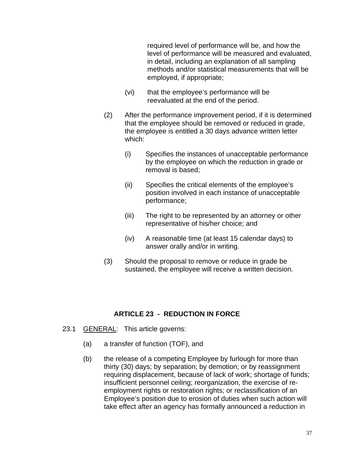required level of performance will be, and how the level of performance will be measured and evaluated, in detail, including an explanation of all sampling methods and/or statistical measurements that will be employed, if appropriate;

- (vi) that the employee's performance will be reevaluated at the end of the period.
- (2) After the performance improvement period, if it is determined that the employee should be removed or reduced in grade, the employee is entitled a 30 days advance written letter which:
	- (i) Specifies the instances of unacceptable performance by the employee on which the reduction in grade or removal is based;
	- (ii) Specifies the critical elements of the employee's position involved in each instance of unacceptable performance;
	- (iii) The right to be represented by an attorney or other representative of his/her choice; and
	- (iv) A reasonable time (at least 15 calendar days) to answer orally and/or in writing.
- (3) Should the proposal to remove or reduce in grade be sustained, the employee will receive a written decision.

#### **ARTICLE 23 - REDUCTION IN FORCE**

- 23.1 **GENERAL:** This article governs:
	- (a) a transfer of function (TOF), and
	- (b) the release of a competing Employee by furlough for more than thirty (30) days; by separation; by demotion; or by reassignment requiring displacement, because of lack of work; shortage of funds; insufficient personnel ceiling; reorganization, the exercise of reemployment rights or restoration rights; or reclassification of an Employee's position due to erosion of duties when such action will take effect after an agency has formally announced a reduction in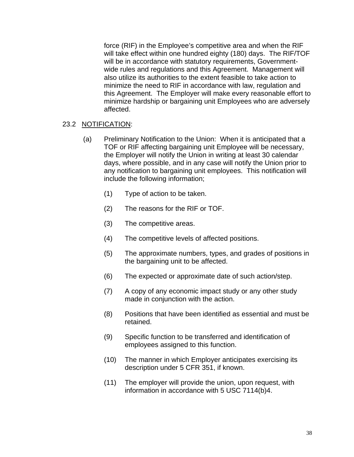force (RIF) in the Employee's competitive area and when the RIF will take effect within one hundred eighty (180) days. The RIF/TOF will be in accordance with statutory requirements, Governmentwide rules and regulations and this Agreement. Management will also utilize its authorities to the extent feasible to take action to minimize the need to RIF in accordance with law, regulation and this Agreement. The Employer will make every reasonable effort to minimize hardship or bargaining unit Employees who are adversely affected.

#### 23.2 NOTIFICATION:

- (a) Preliminary Notification to the Union: When it is anticipated that a TOF or RIF affecting bargaining unit Employee will be necessary, the Employer will notify the Union in writing at least 30 calendar days, where possible, and in any case will notify the Union prior to any notification to bargaining unit employees. This notification will include the following information;
	- (1) Type of action to be taken.
	- (2) The reasons for the RIF or TOF.
	- (3) The competitive areas.
	- (4) The competitive levels of affected positions.
	- (5) The approximate numbers, types, and grades of positions in the bargaining unit to be affected.
	- (6) The expected or approximate date of such action/step.
	- (7) A copy of any economic impact study or any other study made in conjunction with the action.
	- (8) Positions that have been identified as essential and must be retained.
	- (9) Specific function to be transferred and identification of employees assigned to this function.
	- (10) The manner in which Employer anticipates exercising its description under 5 CFR 351, if known.
	- (11) The employer will provide the union, upon request, with information in accordance with 5 USC 7114(b)4.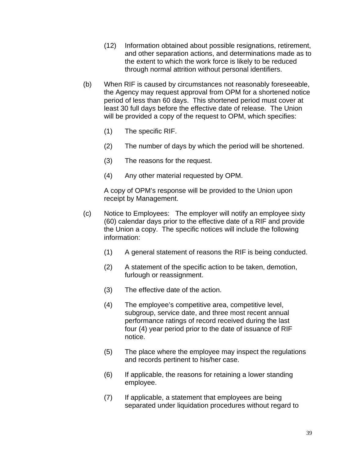- (12) Information obtained about possible resignations, retirement, and other separation actions, and determinations made as to the extent to which the work force is likely to be reduced through normal attrition without personal identifiers.
- (b) When RIF is caused by circumstances not reasonably foreseeable, the Agency may request approval from OPM for a shortened notice period of less than 60 days. This shortened period must cover at least 30 full days before the effective date of release. The Union will be provided a copy of the request to OPM, which specifies:
	- (1) The specific RIF.
	- (2) The number of days by which the period will be shortened.
	- (3) The reasons for the request.
	- (4) Any other material requested by OPM.

A copy of OPM's response will be provided to the Union upon receipt by Management.

- (c) Notice to Employees: The employer will notify an employee sixty (60) calendar days prior to the effective date of a RIF and provide the Union a copy. The specific notices will include the following information:
	- (1) A general statement of reasons the RIF is being conducted.
	- (2) A statement of the specific action to be taken, demotion, furlough or reassignment.
	- (3) The effective date of the action.
	- (4) The employee's competitive area, competitive level, subgroup, service date, and three most recent annual performance ratings of record received during the last four (4) year period prior to the date of issuance of RIF notice.
	- (5) The place where the employee may inspect the regulations and records pertinent to his/her case.
	- (6) If applicable, the reasons for retaining a lower standing employee.
	- (7) If applicable, a statement that employees are being separated under liquidation procedures without regard to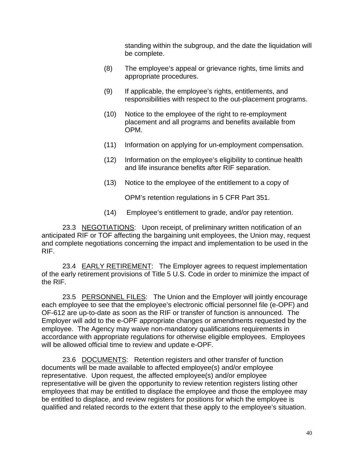standing within the subgroup, and the date the liquidation will be complete.

- (8) The employee's appeal or grievance rights, time limits and appropriate procedures.
- (9) If applicable, the employee's rights, entitlements, and responsibilities with respect to the out-placement programs.
- (10) Notice to the employee of the right to re-employment placement and all programs and benefits available from OPM.
- (11) Information on applying for un-employment compensation.
- (12) Information on the employee's eligibility to continue health and life insurance benefits after RIF separation.
- (13) Notice to the employee of the entitlement to a copy of

OPM's retention regulations in 5 CFR Part 351.

(14) Employee's entitlement to grade, and/or pay retention.

23.3 NEGOTIATIONS: Upon receipt, of preliminary written notification of an anticipated RIF or TOF affecting the bargaining unit employees, the Union may, request and complete negotiations concerning the impact and implementation to be used in the RIF.

23.4 EARLY RETIREMENT: The Employer agrees to request implementation of the early retirement provisions of Title 5 U.S. Code in order to minimize the impact of the RIF.

23.5 PERSONNEL FILES: The Union and the Employer will jointly encourage each employee to see that the employee's electronic official personnel file (e-OPF) and OF-612 are up-to-date as soon as the RIF or transfer of function is announced. The Employer will add to the e-OPF appropriate changes or amendments requested by the employee. The Agency may waive non-mandatory qualifications requirements in accordance with appropriate regulations for otherwise eligible employees. Employees will be allowed official time to review and update e-OPF.

23.6 DOCUMENTS: Retention registers and other transfer of function documents will be made available to affected employee(s) and/or employee representative. Upon request, the affected employee(s) and/or employee representative will be given the opportunity to review retention registers listing other employees that may be entitled to displace the employee and those the employee may be entitled to displace, and review registers for positions for which the employee is qualified and related records to the extent that these apply to the employee's situation.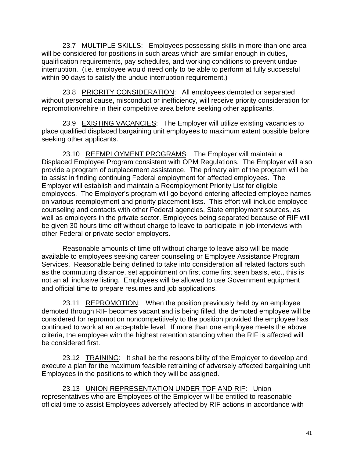23.7 MULTIPLE SKILLS: Employees possessing skills in more than one area will be considered for positions in such areas which are similar enough in duties, qualification requirements, pay schedules, and working conditions to prevent undue interruption. (i.e. employee would need only to be able to perform at fully successful within 90 days to satisfy the undue interruption requirement.)

23.8 PRIORITY CONSIDERATION: All employees demoted or separated without personal cause, misconduct or inefficiency, will receive priority consideration for repromotion/rehire in their competitive area before seeking other applicants.

23.9 EXISTING VACANCIES: The Employer will utilize existing vacancies to place qualified displaced bargaining unit employees to maximum extent possible before seeking other applicants.

23.10 REEMPLOYMENT PROGRAMS: The Employer will maintain a Displaced Employee Program consistent with OPM Regulations. The Employer will also provide a program of outplacement assistance. The primary aim of the program will be to assist in finding continuing Federal employment for affected employees. The Employer will establish and maintain a Reemployment Priority List for eligible employees. The Employer's program will go beyond entering affected employee names on various reemployment and priority placement lists. This effort will include employee counseling and contacts with other Federal agencies, State employment sources, as well as employers in the private sector. Employees being separated because of RIF will be given 30 hours time off without charge to leave to participate in job interviews with other Federal or private sector employers.

Reasonable amounts of time off without charge to leave also will be made available to employees seeking career counseling or Employee Assistance Program Services. Reasonable being defined to take into consideration all related factors such as the commuting distance, set appointment on first come first seen basis, etc., this is not an all inclusive listing. Employees will be allowed to use Government equipment and official time to prepare resumes and job applications.

23.11 REPROMOTION: When the position previously held by an employee demoted through RIF becomes vacant and is being filled, the demoted employee will be considered for repromotion noncompetitively to the position provided the employee has continued to work at an acceptable level. If more than one employee meets the above criteria, the employee with the highest retention standing when the RIF is affected will be considered first.

23.12 TRAINING: It shall be the responsibility of the Employer to develop and execute a plan for the maximum feasible retraining of adversely affected bargaining unit Employees in the positions to which they will be assigned.

23.13 UNION REPRESENTATION UNDER TOF AND RIF: Union representatives who are Employees of the Employer will be entitled to reasonable official time to assist Employees adversely affected by RIF actions in accordance with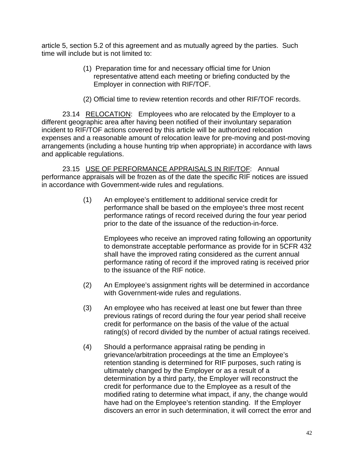article 5, section 5.2 of this agreement and as mutually agreed by the parties. Such time will include but is not limited to:

- (1) Preparation time for and necessary official time for Union representative attend each meeting or briefing conducted by the Employer in connection with RIF/TOF.
- (2) Official time to review retention records and other RIF/TOF records.

23.14 RELOCATION: Employees who are relocated by the Employer to a different geographic area after having been notified of their involuntary separation incident to RIF/TOF actions covered by this article will be authorized relocation expenses and a reasonable amount of relocation leave for pre-moving and post-moving arrangements (including a house hunting trip when appropriate) in accordance with laws and applicable regulations.

23.15 USE OF PERFORMANCE APPRAISALS IN RIF/TOF: Annual performance appraisals will be frozen as of the date the specific RIF notices are issued in accordance with Government-wide rules and regulations.

> (1) An employee's entitlement to additional service credit for performance shall be based on the employee's three most recent performance ratings of record received during the four year period prior to the date of the issuance of the reduction-in-force.

Employees who receive an improved rating following an opportunity to demonstrate acceptable performance as provide for in 5CFR 432 shall have the improved rating considered as the current annual performance rating of record if the improved rating is received prior to the issuance of the RIF notice.

- (2) An Employee's assignment rights will be determined in accordance with Government-wide rules and regulations.
- (3) An employee who has received at least one but fewer than three previous ratings of record during the four year period shall receive credit for performance on the basis of the value of the actual rating(s) of record divided by the number of actual ratings received.
- (4) Should a performance appraisal rating be pending in grievance/arbitration proceedings at the time an Employee's retention standing is determined for RIF purposes, such rating is ultimately changed by the Employer or as a result of a determination by a third party, the Employer will reconstruct the credit for performance due to the Employee as a result of the modified rating to determine what impact, if any, the change would have had on the Employee's retention standing. If the Employer discovers an error in such determination, it will correct the error and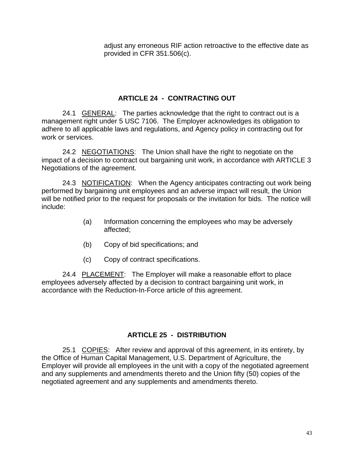adjust any erroneous RIF action retroactive to the effective date as provided in CFR 351.506(c).

#### **ARTICLE 24 - CONTRACTING OUT**

24.1 GENERAL: The parties acknowledge that the right to contract out is a management right under 5 USC 7106. The Employer acknowledges its obligation to adhere to all applicable laws and regulations, and Agency policy in contracting out for work or services.

24.2 NEGOTIATIONS: The Union shall have the right to negotiate on the impact of a decision to contract out bargaining unit work, in accordance with ARTICLE 3 Negotiations of the agreement.

24.3 NOTIFICATION: When the Agency anticipates contracting out work being performed by bargaining unit employees and an adverse impact will result, the Union will be notified prior to the request for proposals or the invitation for bids. The notice will include:

- (a) Information concerning the employees who may be adversely affected;
- (b) Copy of bid specifications; and
- (c) Copy of contract specifications.

24.4 PLACEMENT: The Employer will make a reasonable effort to place employees adversely affected by a decision to contract bargaining unit work, in accordance with the Reduction-In-Force article of this agreement.

# **ARTICLE 25 - DISTRIBUTION**

25.1 COPIES: After review and approval of this agreement, in its entirety, by the Office of Human Capital Management, U.S. Department of Agriculture, the Employer will provide all employees in the unit with a copy of the negotiated agreement and any supplements and amendments thereto and the Union fifty (50) copies of the negotiated agreement and any supplements and amendments thereto.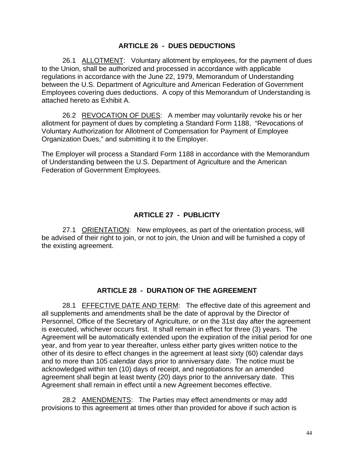#### **ARTICLE 26 - DUES DEDUCTIONS**

26.1 ALLOTMENT: Voluntary allotment by employees, for the payment of dues to the Union, shall be authorized and processed in accordance with applicable regulations in accordance with the June 22, 1979, Memorandum of Understanding between the U.S. Department of Agriculture and American Federation of Government Employees covering dues deductions. A copy of this Memorandum of Understanding is attached hereto as Exhibit A.

26.2 REVOCATION OF DUES: A member may voluntarily revoke his or her allotment for payment of dues by completing a Standard Form 1188, "Revocations of Voluntary Authorization for Allotment of Compensation for Payment of Employee Organization Dues," and submitting it to the Employer.

The Employer will process a Standard Form 1188 in accordance with the Memorandum of Understanding between the U.S. Department of Agriculture and the American Federation of Government Employees.

#### **ARTICLE 27 - PUBLICITY**

27.1 ORIENTATION: New employees, as part of the orientation process, will be advised of their right to join, or not to join, the Union and will be furnished a copy of the existing agreement.

# **ARTICLE 28 - DURATION OF THE AGREEMENT**

28.1 EFFECTIVE DATE AND TERM: The effective date of this agreement and all supplements and amendments shall be the date of approval by the Director of Personnel, Office of the Secretary of Agriculture, or on the 31st day after the agreement is executed, whichever occurs first. It shall remain in effect for three (3) years. The Agreement will be automatically extended upon the expiration of the initial period for one year, and from year to year thereafter, unless either party gives written notice to the other of its desire to effect changes in the agreement at least sixty (60) calendar days and to more than 105 calendar days prior to anniversary date. The notice must be acknowledged within ten (10) days of receipt, and negotiations for an amended agreement shall begin at least twenty (20) days prior to the anniversary date. This Agreement shall remain in effect until a new Agreement becomes effective.

28.2 AMENDMENTS: The Parties may effect amendments or may add provisions to this agreement at times other than provided for above if such action is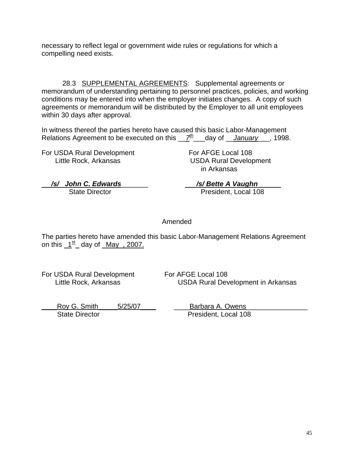necessary to reflect legal or government wide rules or regulations for which a compelling need exists.

28.3 SUPPLEMENTAL AGREEMENTS: Supplemental agreements or memorandum of understanding pertaining to personnel practices, policies, and working conditions may be entered into when the employer initiates changes. A copy of such agreements or memorandum will be distributed by the Employer to all unit employees within 30 days after approval.

In witness thereof the parties hereto have caused this basic Labor-Management Relations Agreement to be executed on this  $Z^{th}$  day of *January*, 1998.

For USDA Rural Development For AFGE Local 108

 Little Rock, Arkansas USDA Rural Development in Arkansas

 */s/ John C. Edwards*\_\_\_\_\_\_\_ \_\_\_*/s/ Bette A Vaughn*\_\_\_\_\_\_

State Director **President, Local 108** 

#### Amended

The parties hereto have amended this basic Labor-Management Relations Agreement on this  $1^{st}$  day of May, 2007.

For USDA Rural Development Little Rock, Arkansas

For AFGE Local 108 USDA Rural Development in Arkansas

Roy G. Smith 5/25/07 State Director

Barbara A. Owens President, Local 108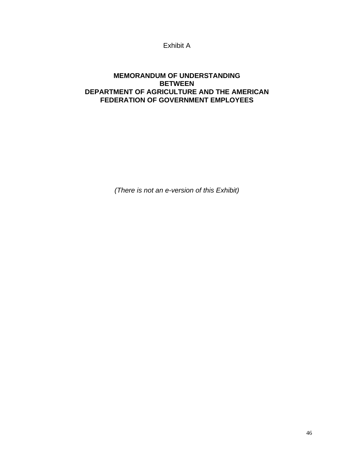Exhibit A

# **MEMORANDUM OF UNDERSTANDING BETWEEN DEPARTMENT OF AGRICULTURE AND THE AMERICAN FEDERATION OF GOVERNMENT EMPLOYEES**

*(There is not an e-version of this Exhibit)*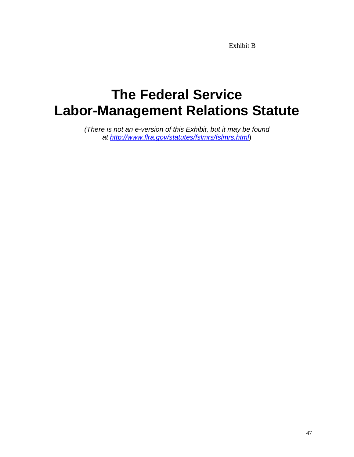Exhibit B

# **The Federal Service Labor-Management Relations Statute**

*(There is not an e-version of this Exhibit, but it may be found at<http://www.flra.gov/statutes/fslmrs/fslmrs.html>*)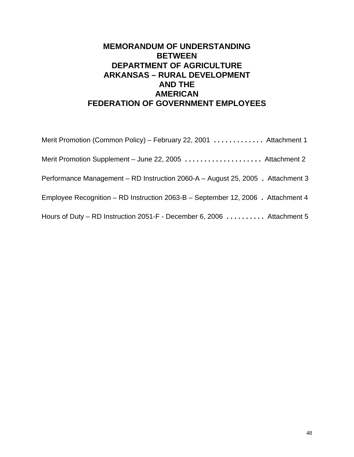# **MEMORANDUM OF UNDERSTANDING BETWEEN DEPARTMENT OF AGRICULTURE ARKANSAS – RURAL DEVELOPMENT AND THE AMERICAN FEDERATION OF GOVERNMENT EMPLOYEES**

| Merit Promotion (Common Policy) – February 22, 2001  Attachment 1                |  |
|----------------------------------------------------------------------------------|--|
| Merit Promotion Supplement - June 22, 2005  Attachment 2                         |  |
| Performance Management – RD Instruction 2060-A – August 25, 2005. Attachment 3   |  |
| Employee Recognition – RD Instruction 2063-B – September 12, 2006 . Attachment 4 |  |
| Hours of Duty – RD Instruction 2051-F - December 6, 2006  Attachment 5           |  |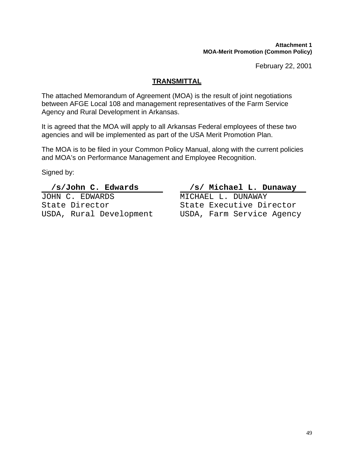February 22, 2001

#### **TRANSMITTAL**

The attached Memorandum of Agreement (MOA) is the result of joint negotiations between AFGE Local 108 and management representatives of the Farm Service Agency and Rural Development in Arkansas.

It is agreed that the MOA will apply to all Arkansas Federal employees of these two agencies and will be implemented as part of the USA Merit Promotion Plan.

The MOA is to be filed in your Common Policy Manual, along with the current policies and MOA's on Performance Management and Employee Recognition.

Signed by:

 **/s/John C. Edwards**  JOHN C. EDWARDS State Director USDA, Rural Development  **/s/ Michael L. Dunaway** 

MICHAEL L. DUNAWAY State Executive Director USDA, Farm Service Agency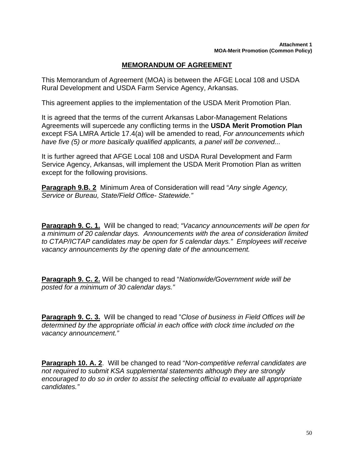#### **MEMORANDUM OF AGREEMENT**

This Memorandum of Agreement (MOA) is between the AFGE Local 108 and USDA Rural Development and USDA Farm Service Agency, Arkansas.

This agreement applies to the implementation of the USDA Merit Promotion Plan.

It is agreed that the terms of the current Arkansas Labor-Management Relations Agreements will supercede any conflicting terms in the **USDA Merit Promotion Plan**  except FSA LMRA Article 17.4(a) will be amended to read, *For announcements which have five (5) or more basically qualified applicants, a panel will be convened...*

It is further agreed that AFGE Local 108 and USDA Rural Development and Farm Service Agency, Arkansas, will implement the USDA Merit Promotion Plan as written except for the following provisions.

**Paragraph 9.B. 2** Minimum Area of Consideration will read "*Any single Agency, Service or Bureau, State/Field Office- Statewide."* 

**Paragraph 9. C. 1.** Will be changed to read; *"Vacancy announcements will be open for a minimum of 20 calendar days. Announcements with the area of consideration limited to CTAP/ICTAP candidates may be open for 5 calendar days." Employees will receive vacancy announcements by the opening date of the announcement.* 

**Paragraph 9. C. 2.** Will be changed to read "*Nationwide/Government wide will be posted for a minimum of 30 calendar days."* 

**Paragraph 9. C. 3.** Will be changed to read "*Close of business in Field Offices will be determined by the appropriate official in each office with clock time included on the vacancy announcement."* 

**Paragraph 10. A. 2**. Will be changed to read "*Non-competitive referral candidates are not required to submit KSA supplemental statements although they are strongly encouraged to do so in order to assist the selecting official to evaluate all appropriate candidates."*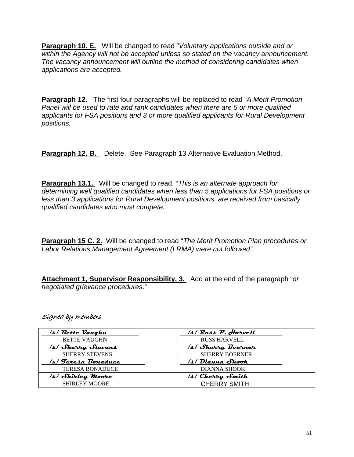**Paragraph 10. E.** Will be changed to read "*Voluntary applications outside and or within the Agency will not be accepted unless so stated on the vacancy announcement. The vacancy announcement will outline the method of considering candidates when applications are accepted.* 

**Paragraph 12.** The first four paragraphs will be replaced to read "*A Merit Promotion Panel will be used to rate and rank candidates when there are 5 or more qualified applicants for FSA positions and 3 or more qualified applicants for Rural Development positions.* 

Paragraph 12. B. Delete. See Paragraph 13 Alternative Evaluation Method.

**Paragraph 13.1.** Will be changed to read, "*This is an alternate approach for determining well qualified candidates when less than 5 applications for FSA positions or less than 3 applications for Rural Development positions, are received from basically qualified candidates who must compete.* 

**Paragraph 15 C. 2.** Will be changed to read "*The Merit Promotion Plan procedures or Labor Relations Management Agreement (LRMA) were not followed"* 

**Attachment 1, Supervisor Responsibility, 3.** Add at the end of the paragraph "*or negotiated grievance procedures*."

#### Signed by members.

| 11/ Bette Vaughn          | 11/ Russ P. Harvell   |
|---------------------------|-----------------------|
| <b>BETTE VAUGHN</b>       | <b>RUSS HARVELL</b>   |
| 11/ Sherry Stevens        | 11 Sherry Boerner     |
| <b>SHERRY STEVENS</b>     | <b>SHERRY BOERNER</b> |
| <b>A/ Teresa Bonaduce</b> | /1/ Dianna Shook      |
| <b>TERESA BONADUCE</b>    | <b>DIANNA SHOOK</b>   |
| 11 Shirley Moore          | /1/ Cherry Smith      |
| <b>SHIRLEY MOORE</b>      | <b>CHERRY SMITH</b>   |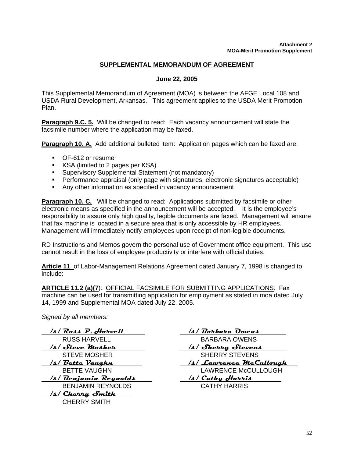#### **Attachment 2 MOA-Merit Promotion Supplement**

#### **SUPPLEMENTAL MEMORANDUM OF AGREEMENT**

#### **June 22, 2005**

This Supplemental Memorandum of Agreement (MOA) is between the AFGE Local 108 and USDA Rural Development, Arkansas. This agreement applies to the USDA Merit Promotion Plan.

**Paragraph 9.C. 5.** Will be changed to read: Each vacancy announcement will state the facsimile number where the application may be faxed.

**Paragraph 10. A.** Add additional bulleted item: Application pages which can be faxed are:

- OF-612 or resume'
- KSA (limited to 2 pages per KSA)
- **Supervisory Supplemental Statement (not mandatory)**
- Performance appraisal (only page with signatures, electronic signatures acceptable)
- Any other information as specified in vacancy announcement

**Paragraph 10. C.** Will be changed to read: Applications submitted by facsimile or other electronic means as specified in the announcement will be accepted. It is the employee's responsibility to assure only high quality, legible documents are faxed. Management will ensure that fax machine is located in a secure area that is only accessible by HR employees. Management will immediately notify employees upon receipt of non-legible documents.

RD Instructions and Memos govern the personal use of Government office equipment. This use cannot result in the loss of employee productivity or interfere with official duties.

**Article 11** of Labor-Management Relations Agreement dated January 7, 1998 is changed to include:

**ARTICLE 11.2 (a)(7**): OFFICIAL FACSIMILE FOR SUBMITTING APPLICATIONS: Fax machine can be used for transmitting application for employment as stated in moa dated July 14, 1999 and Supplemental MOA dated July 22, 2005.

*Signed by all members:* 

 **/s/ Russ P. Harvell**  RUSS HARVELL  **/s/ Steve Mosher**  STEVE MOSHER  **/s/ Bette Vaughn**  BETTE VAUGHN  **/s/ Benjamin Reynolds**  BENJAMIN REYNOLDS  **/s/ Cherry Smith**  CHERRY SMITH

 **/s/ Barbara Owens**  BARBARA OWENS  **/s/ Sherry Stevens**  SHERRY STEVENS  **/s/ Lawrence McCullough**  LAWRENCE McCULLOUGH  **/s/ Cathy Harris**  CATHY HARRIS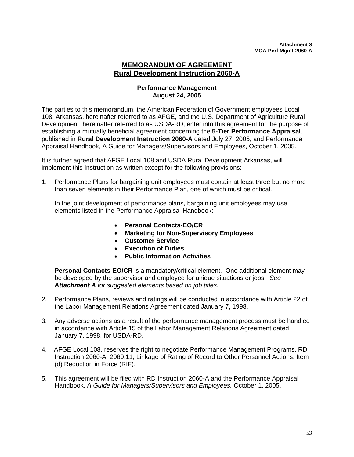#### **MEMORANDUM OF AGREEMENT Rural Development Instruction 2060-A**

#### **Performance Management August 24, 2005**

The parties to this memorandum, the American Federation of Government employees Local 108, Arkansas, hereinafter referred to as AFGE, and the U.S. Department of Agriculture Rural Development, hereinafter referred to as USDA-RD, enter into this agreement for the purpose of establishing a mutually beneficial agreement concerning the **5-Tier Performance Appraisal**, published in **Rural Development Instruction 2060-A** dated July 27, 2005, and Performance Appraisal Handbook, A Guide for Managers/Supervisors and Employees, October 1, 2005.

It is further agreed that AFGE Local 108 and USDA Rural Development Arkansas, will implement this Instruction as written except for the following provisions:

1. Performance Plans for bargaining unit employees must contain at least three but no more than seven elements in their Performance Plan, one of which must be critical.

In the joint development of performance plans, bargaining unit employees may use elements listed in the Performance Appraisal Handbook:

- **Personal Contacts-EO/CR**
- **Marketing for Non-Supervisory Employees**
- **Customer Service**
- **Execution of Duties**
- **Public Information Activities**

**Personal Contacts-EO/CR** is a mandatory/critical element. One additional element may be developed by the supervisor and employee for unique situations or jobs. *See Attachment A for suggested elements based on job titles.* 

- 2. Performance Plans, reviews and ratings will be conducted in accordance with Article 22 of the Labor Management Relations Agreement dated January 7, 1998.
- 3. Any adverse actions as a result of the performance management process must be handled in accordance with Article 15 of the Labor Management Relations Agreement dated January 7, 1998, for USDA-RD.
- 4. AFGE Local 108, reserves the right to negotiate Performance Management Programs, RD Instruction 2060-A, 2060.11, Linkage of Rating of Record to Other Personnel Actions, Item (d) Reduction in Force (RIF).
- 5. This agreement will be filed with RD Instruction 2060-A and the Performance Appraisal Handbook, *A Guide for Managers/Supervisors and Employees,* October 1, 2005.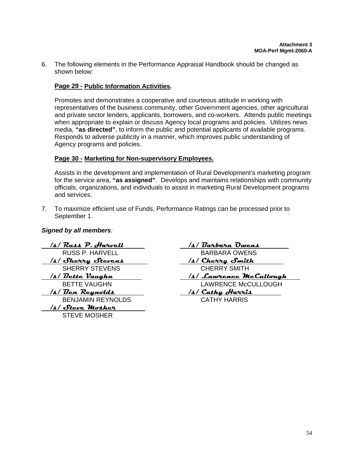6. The following elements in the Performance Appraisal Handbook should be changed as shown below:

#### **Page 29 - Public Information Activities.**

Promotes and demonstrates a cooperative and courteous attitude in working with representatives of the business community, other Government agencies, other agricultural and private sector lenders, applicants, borrowers, and co-workers. Attends public meetings when appropriate to explain or discuss Agency local programs and policies. Utilizes news media, **"as directed"**, to inform the public and potential applicants of available programs. Responds to adverse publicity in a manner, which improves public understanding of Agency programs and policies.

#### **Page 30 - Marketing for Non-supervisory Employees.**

Assists in the development and implementation of Rural Development's marketing program for the service area, **"as assigned"**. Develops and maintains relationships with community officials, organizations, and individuals to assist in marketing Rural Development programs and services.

7. To maximize efficient use of Funds, Performance Ratings can be processed prior to September 1.

#### *Signed by all members:*

| 11/ Russ P. Harvell      |
|--------------------------|
| <b>RUSS P. HARVELL</b>   |
| 11/ Sherry Stevens       |
| <b>SHERRY STEVENS</b>    |
| /1/ Bette Vaughn         |
| <b>BETTE VAUGHN</b>      |
| /1/ Ben Reynolds         |
| <b>BENJAMIN REYNOLDS</b> |
| 11/ Steve Mosher         |
| <b>STEVE MOSHER</b>      |

 **/s/ Barbara Owens**  BARBARA OWENS  **/s/ Cherry Smith**  CHERRY SMITH  **/s/ Lawrence McCullough**  LAWRENCE McCULLOUGH  **/s/ Cathy Harris**  CATHY HARRIS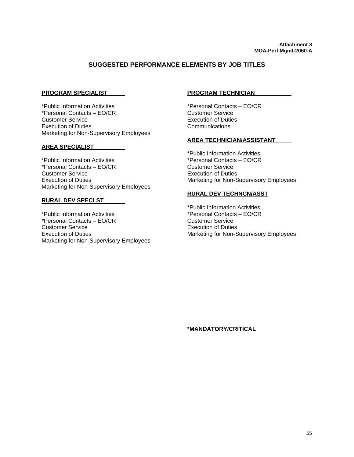#### **SUGGESTED PERFORMANCE ELEMENTS BY JOB TITLES**

#### **PROGRAM SPECIALIST**

\*Public Information Activities \*Personal Contacts – EO/CR Customer Service Execution of Duties Marketing for Non-Supervisory Employees

#### **AREA SPECIALIST**

\*Public Information Activities \*Personal Contacts – EO/CR Customer Service Execution of Duties Marketing for Non-Supervisory Employees

#### **RURAL DEV SPECLST**

\*Public Information Activities \*Personal Contacts – EO/CR Customer Service Execution of Duties Marketing for Non-Supervisory Employees

#### **PROGRAM TECHNICIAN**

\*Personal Contacts – EO/CR Customer Service Execution of Duties **Communications** 

#### **AREA TECHNICIAN/ASSISTANT**

\*Public Information Activities \*Personal Contacts – EO/CR Customer Service Execution of Duties Marketing for Non-Supervisory Employees

#### **RURAL DEV TECHNCN/ASST**

\*Public Information Activities \*Personal Contacts – EO/CR Customer Service Execution of Duties Marketing for Non-Supervisory Employees

**\*MANDATORY/CRITICAL**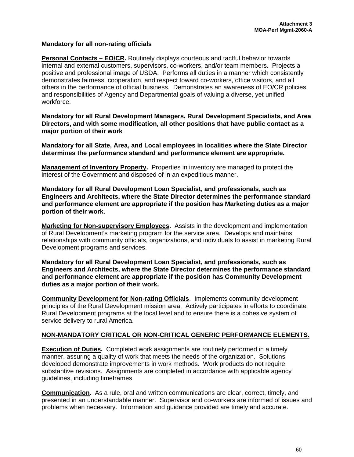#### **Mandatory for all non-rating officials**

**Personal Contacts – EO/CR.** Routinely displays courteous and tactful behavior towards internal and external customers, supervisors, co-workers, and/or team members. Projects a positive and professional image of USDA. Performs all duties in a manner which consistently demonstrates fairness, cooperation, and respect toward co-workers, office visitors, and all others in the performance of official business. Demonstrates an awareness of EO/CR policies and responsibilities of Agency and Departmental goals of valuing a diverse, yet unified workforce.

**Mandatory for all Rural Development Managers, Rural Development Specialists, and Area Directors, and with some modification, all other positions that have public contact as a major portion of their work** 

**Mandatory for all State, Area, and Local employees in localities where the State Director determines the performance standard and performance element are appropriate.** 

**Management of Inventory Property.** Properties in inventory are managed to protect the interest of the Government and disposed of in an expeditious manner.

**Mandatory for all Rural Development Loan Specialist, and professionals, such as Engineers and Architects, where the State Director determines the performance standard and performance element are appropriate if the position has Marketing duties as a major portion of their work.** 

**Marketing for Non-supervisory Employees.** Assists in the development and implementation of Rural Development's marketing program for the service area. Develops and maintains relationships with community officials, organizations, and individuals to assist in marketing Rural Development programs and services.

**Mandatory for all Rural Development Loan Specialist, and professionals, such as Engineers and Architects, where the State Director determines the performance standard and performance element are appropriate if the position has Community Development duties as a major portion of their work.** 

**Community Development for Non-rating Officials**. Implements community development principles of the Rural Development mission area. Actively participates in efforts to coordinate Rural Development programs at the local level and to ensure there is a cohesive system of service delivery to rural America.

#### **NON-MANDATORY CRITICAL OR NON-CRITICAL GENERIC PERFORMANCE ELEMENTS.**

**Execution of Duties.** Completed work assignments are routinely performed in a timely manner, assuring a quality of work that meets the needs of the organization. Solutions developed demonstrate improvements in work methods. Work products do not require substantive revisions. Assignments are completed in accordance with applicable agency guidelines, including timeframes.

**Communication.** As a rule, oral and written communications are clear, correct, timely, and presented in an understandable manner. Supervisor and co-workers are informed of issues and problems when necessary. Information and guidance provided are timely and accurate.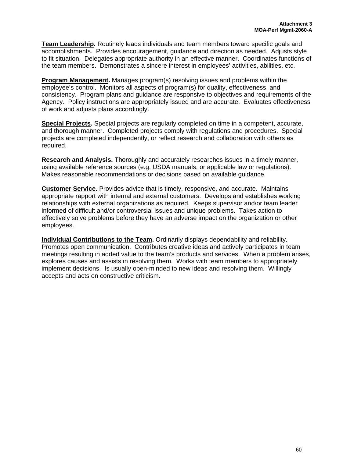**Team Leadership.** Routinely leads individuals and team members toward specific goals and accomplishments. Provides encouragement, guidance and direction as needed. Adjusts style to fit situation. Delegates appropriate authority in an effective manner. Coordinates functions of the team members. Demonstrates a sincere interest in employees' activities, abilities, etc.

**Program Management.** Manages program(s) resolving issues and problems within the employee's control. Monitors all aspects of program(s) for quality, effectiveness, and consistency. Program plans and guidance are responsive to objectives and requirements of the Agency. Policy instructions are appropriately issued and are accurate. Evaluates effectiveness of work and adjusts plans accordingly.

**Special Projects.** Special projects are regularly completed on time in a competent, accurate, and thorough manner. Completed projects comply with regulations and procedures. Special projects are completed independently, or reflect research and collaboration with others as required.

**Research and Analysis.** Thoroughly and accurately researches issues in a timely manner, using available reference sources (e.g. USDA manuals, or applicable law or regulations). Makes reasonable recommendations or decisions based on available guidance.

**Customer Service.** Provides advice that is timely, responsive, and accurate. Maintains appropriate rapport with internal and external customers. Develops and establishes working relationships with external organizations as required. Keeps supervisor and/or team leader informed of difficult and/or controversial issues and unique problems. Takes action to effectively solve problems before they have an adverse impact on the organization or other employees.

**Individual Contributions to the Team.** Ordinarily displays dependability and reliability. Promotes open communication. Contributes creative ideas and actively participates in team meetings resulting in added value to the team's products and services. When a problem arises, explores causes and assists in resolving them. Works with team members to appropriately implement decisions. Is usually open-minded to new ideas and resolving them. Willingly accepts and acts on constructive criticism.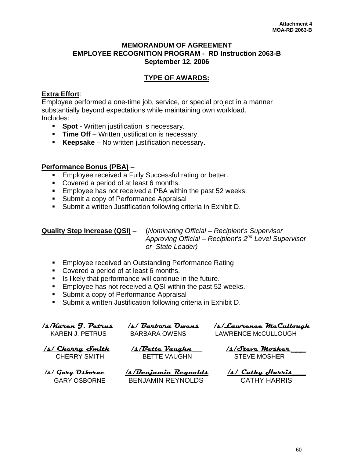# **MEMORANDUM OF AGREEMENT EMPLOYEE RECOGNITION PROGRAM - RD Instruction 2063-B**

**September 12, 2006** 

#### **TYPE OF AWARDS:**

#### **Extra Effort**:

Employee performed a one-time job, service, or special project in a manner substantially beyond expectations while maintaining own workload. Includes:

- **Spot** Written justification is necessary.
- **Time Off** Written justification is necessary.
- **Keepsake** No written justification necessary.

# **Performance Bonus (PBA)** –

- **Employee received a Fully Successful rating or better.**
- Covered a period of at least 6 months.
- **Employee has not received a PBA within the past 52 weeks.**
- **Submit a copy of Performance Appraisal**
- Submit a written Justification following criteria in Exhibit D.

**Quality Step Increase (QSI)** – (*Nominating Official – Recipient's Supervisor Approving Official – Recipient's 2nd Level Supervisor or State Leader)* 

- **Employee received an Outstanding Performance Rating**
- Covered a period of at least 6 months.
- Is likely that performance will continue in the future.
- **Employee has not received a QSI within the past 52 weeks.**
- **Submit a copy of Performance Appraisal**
- Submit a written Justification following criteria in Exhibit D.

| <i>A. March</i> J. Petrus | /1/ Barbara Dwens           | 11/ Lawrence McCullough    |
|---------------------------|-----------------------------|----------------------------|
| <b>KAREN J. PETRUS</b>    | <b>BARBARA OWENS</b>        | <b>LAWRENCE McCULLOUGH</b> |
| /1/ Cherry Smith          | <sup>1</sup> A/Bette Vaughn | 11 Steve Mosher            |
| <b>CHERRY SMITH</b>       | <b>BETTE VAUGHN</b>         | <b>STEVE MOSHER</b>        |
| 11/ Gary Diborne          | /s/Benjamin Reynolds        | 11/ Cathy Harris           |
| <b>GARY OSBORNE</b>       | <b>BENJAMIN REYNOLDS</b>    | <b>CATHY HARRIS</b>        |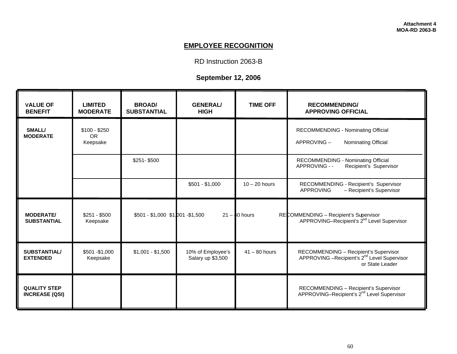#### **EMPLOYEE RECOGNITION**

RD Instruction 2063-B

# **September 12, 2006**

| <b>VALUE OF</b><br><b>BENEFIT</b>            | <b>LIMITED</b><br><b>MODERATE</b> | <b>BROAD/</b><br><b>SUBSTANTIAL</b> | <b>GENERAL/</b><br><b>HIGH</b>         | <b>TIME OFF</b> | <b>RECOMMENDING/</b><br><b>APPROVING OFFICIAL</b>                                                                    |
|----------------------------------------------|-----------------------------------|-------------------------------------|----------------------------------------|-----------------|----------------------------------------------------------------------------------------------------------------------|
| <b>SMALL/</b><br><b>MODERATE</b>             | $$100 - $250$<br>OR.<br>Keepsake  |                                     |                                        |                 | RECOMMENDING - Nominating Official<br>APPROVING-<br>Nominating Official                                              |
|                                              |                                   | \$251-\$500                         |                                        |                 | RECOMMENDING - Nominating Official<br>APPROVING - -<br>Recipient's Supervisor                                        |
|                                              |                                   |                                     | $$501 - $1,000$                        | $10 - 20$ hours | RECOMMENDING - Recipient's Supervisor<br><b>APPROVING</b><br>- Recipient's Supervisor                                |
| <b>MODERATE/</b><br><b>SUBSTANTIAL</b>       | $$251 - $500$<br>Keepsake         | $$501 - $1,000$ \$1,001 -\$1,500    |                                        | $21 - 10$ hours | RECOMMENDING - Recipient's Supervisor<br>APPROVING-Recipient's 2 <sup>nd</sup> Level Supervisor                      |
| <b>SUBSTANTIAL/</b><br><b>EXTENDED</b>       | \$501 - \$1,000<br>Keepsake       | $$1,001 - $1,500$                   | 10% of Employee's<br>Salary up \$3,500 | $41 - 80$ hours | RECOMMENDING - Recipient's Supervisor<br>APPROVING - Recipient's 2 <sup>nd</sup> Level Supervisor<br>or State Leader |
| <b>QUALITY STEP</b><br><b>INCREASE (QSI)</b> |                                   |                                     |                                        |                 | RECOMMENDING - Recipient's Supervisor<br>APPROVING-Recipient's 2 <sup>nd</sup> Level Supervisor                      |